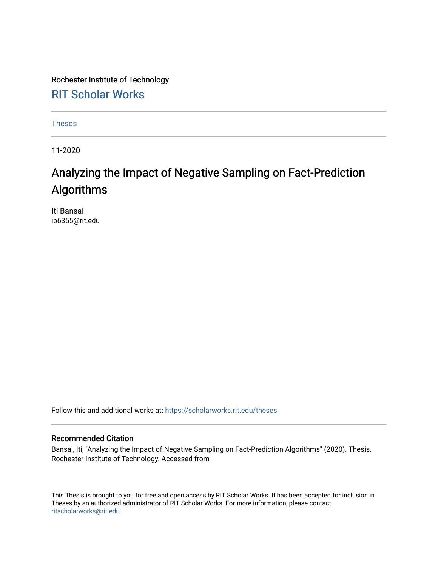Rochester Institute of Technology [RIT Scholar Works](https://scholarworks.rit.edu/)

[Theses](https://scholarworks.rit.edu/theses) 

11-2020

### Analyzing the Impact of Negative Sampling on Fact-Prediction Algorithms

Iti Bansal ib6355@rit.edu

Follow this and additional works at: [https://scholarworks.rit.edu/theses](https://scholarworks.rit.edu/theses?utm_source=scholarworks.rit.edu%2Ftheses%2F10610&utm_medium=PDF&utm_campaign=PDFCoverPages) 

#### Recommended Citation

Bansal, Iti, "Analyzing the Impact of Negative Sampling on Fact-Prediction Algorithms" (2020). Thesis. Rochester Institute of Technology. Accessed from

This Thesis is brought to you for free and open access by RIT Scholar Works. It has been accepted for inclusion in Theses by an authorized administrator of RIT Scholar Works. For more information, please contact [ritscholarworks@rit.edu](mailto:ritscholarworks@rit.edu).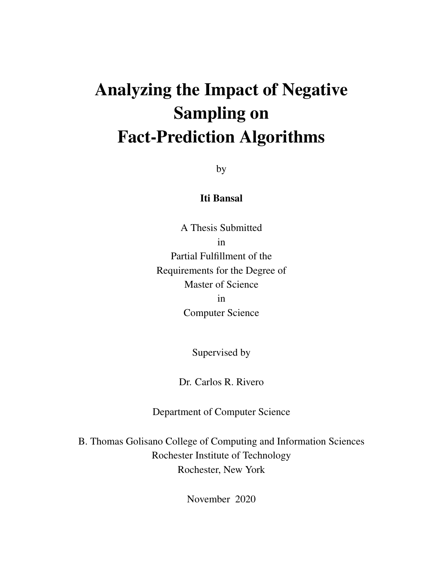## Analyzing the Impact of Negative Sampling on Fact-Prediction Algorithms

by

#### Iti Bansal

A Thesis Submitted in Partial Fulfillment of the Requirements for the Degree of Master of Science in Computer Science

Supervised by

Dr. Carlos R. Rivero

Department of Computer Science

B. Thomas Golisano College of Computing and Information Sciences Rochester Institute of Technology Rochester, New York

November 2020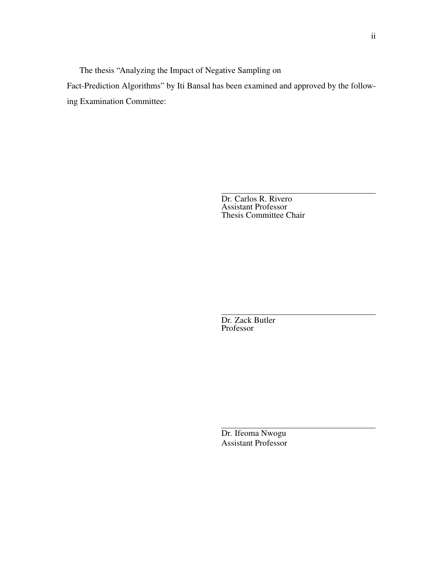The thesis "Analyzing the Impact of Negative Sampling on

Fact-Prediction Algorithms" by Iti Bansal has been examined and approved by the following Examination Committee:

> Dr. Carlos R. Rivero Assistant Professor Thesis Committee Chair

Dr. Zack Butler Professor

Dr. Ifeoma Nwogu Assistant Professor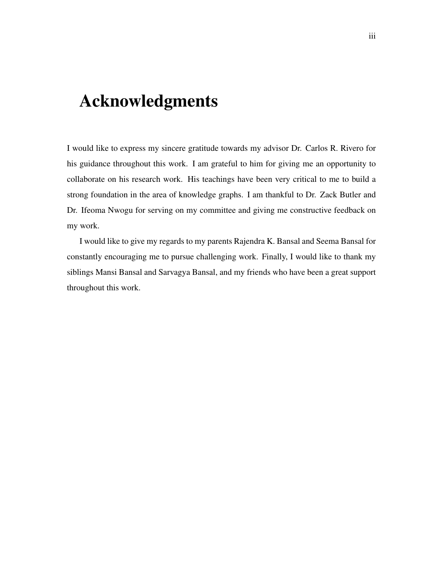## <span id="page-3-0"></span>Acknowledgments

I would like to express my sincere gratitude towards my advisor Dr. Carlos R. Rivero for his guidance throughout this work. I am grateful to him for giving me an opportunity to collaborate on his research work. His teachings have been very critical to me to build a strong foundation in the area of knowledge graphs. I am thankful to Dr. Zack Butler and Dr. Ifeoma Nwogu for serving on my committee and giving me constructive feedback on my work.

I would like to give my regards to my parents Rajendra K. Bansal and Seema Bansal for constantly encouraging me to pursue challenging work. Finally, I would like to thank my siblings Mansi Bansal and Sarvagya Bansal, and my friends who have been a great support throughout this work.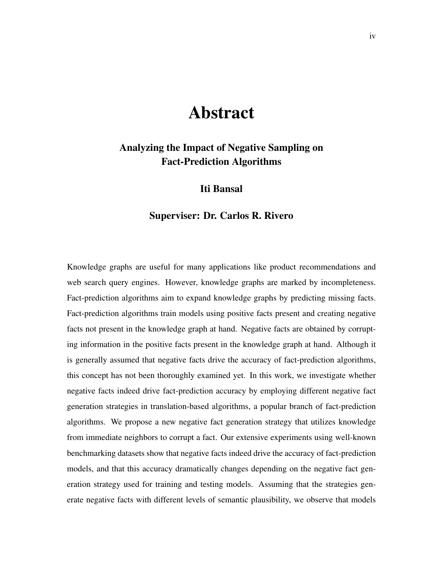### Abstract

#### <span id="page-4-0"></span>Analyzing the Impact of Negative Sampling on Fact-Prediction Algorithms

#### Iti Bansal

#### Superviser: Dr. Carlos R. Rivero

Knowledge graphs are useful for many applications like product recommendations and web search query engines. However, knowledge graphs are marked by incompleteness. Fact-prediction algorithms aim to expand knowledge graphs by predicting missing facts. Fact-prediction algorithms train models using positive facts present and creating negative facts not present in the knowledge graph at hand. Negative facts are obtained by corrupting information in the positive facts present in the knowledge graph at hand. Although it is generally assumed that negative facts drive the accuracy of fact-prediction algorithms, this concept has not been thoroughly examined yet. In this work, we investigate whether negative facts indeed drive fact-prediction accuracy by employing different negative fact generation strategies in translation-based algorithms, a popular branch of fact-prediction algorithms. We propose a new negative fact generation strategy that utilizes knowledge from immediate neighbors to corrupt a fact. Our extensive experiments using well-known benchmarking datasets show that negative facts indeed drive the accuracy of fact-prediction models, and that this accuracy dramatically changes depending on the negative fact generation strategy used for training and testing models. Assuming that the strategies generate negative facts with different levels of semantic plausibility, we observe that models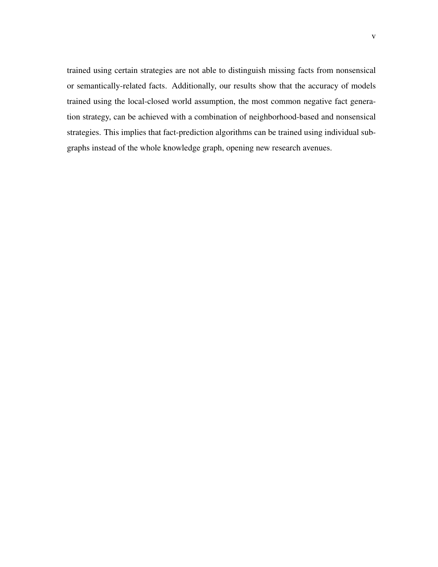trained using certain strategies are not able to distinguish missing facts from nonsensical or semantically-related facts. Additionally, our results show that the accuracy of models trained using the local-closed world assumption, the most common negative fact generation strategy, can be achieved with a combination of neighborhood-based and nonsensical strategies. This implies that fact-prediction algorithms can be trained using individual subgraphs instead of the whole knowledge graph, opening new research avenues.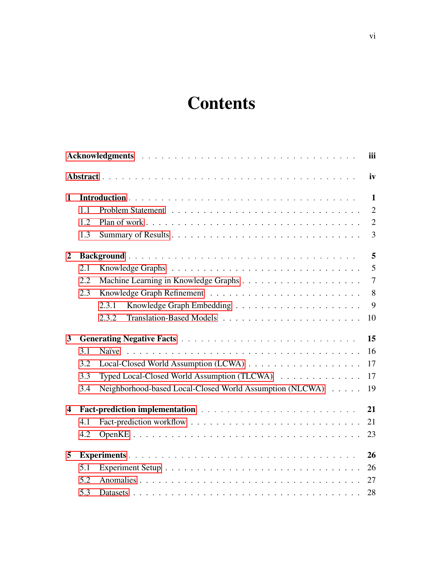## **Contents**

|                         |     |                                                          | iii            |
|-------------------------|-----|----------------------------------------------------------|----------------|
|                         |     |                                                          | iv             |
| 1                       |     |                                                          | $\mathbf{1}$   |
|                         | 1.1 |                                                          | $\overline{2}$ |
|                         | 1.2 |                                                          | $\overline{2}$ |
|                         | 1.3 |                                                          | $\overline{3}$ |
| $\overline{2}$          |     |                                                          | 5              |
|                         | 2.1 |                                                          | 5              |
|                         | 2.2 |                                                          | $\tau$         |
|                         | 2.3 |                                                          | $8\,$          |
|                         |     | 2.3.1                                                    | 9              |
|                         |     | 2.3.2                                                    | 10             |
| $\overline{\mathbf{3}}$ |     |                                                          | 15             |
|                         | 3.1 | Naïve                                                    | 16             |
|                         | 3.2 |                                                          | 17             |
|                         | 3.3 | Typed Local-Closed World Assumption (TLCWA)              | 17             |
|                         | 3.4 | Neighborhood-based Local-Closed World Assumption (NLCWA) | 19             |
| $\overline{\mathbf{4}}$ |     |                                                          | 21             |
|                         | 4.1 |                                                          | 21             |
|                         | 4.2 |                                                          | 23             |
| 5                       |     |                                                          | 26             |
|                         | 5.1 |                                                          | 26             |
|                         | 5.2 |                                                          | 27             |
|                         | 5.3 |                                                          | 28             |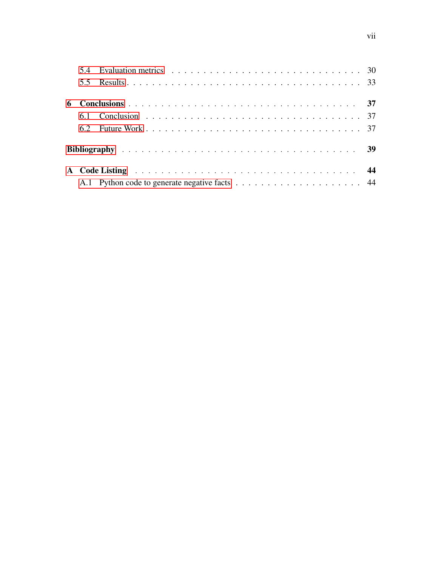| 6 |                                                                                                                                                                                                                               |  |
|---|-------------------------------------------------------------------------------------------------------------------------------------------------------------------------------------------------------------------------------|--|
|   |                                                                                                                                                                                                                               |  |
|   |                                                                                                                                                                                                                               |  |
|   |                                                                                                                                                                                                                               |  |
|   | A Code Listing entertainment and the contract of the contract of the contract of the contract of the contract of the contract of the contract of the contract of the contract of the contract of the Contract of the Contract |  |
|   |                                                                                                                                                                                                                               |  |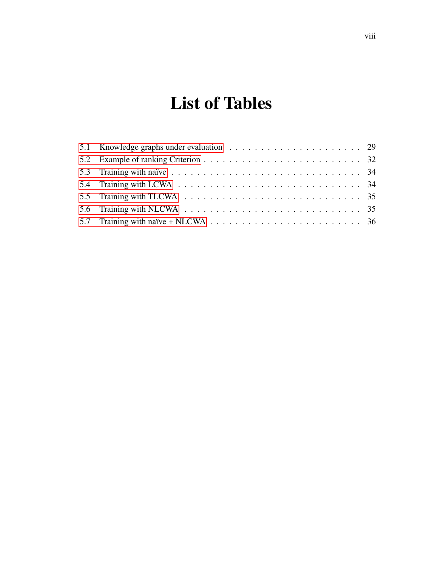## List of Tables

| 5.7 Training with naïve + NLCWA $\ldots \ldots \ldots \ldots \ldots \ldots \ldots \ldots \ldots \ldots \ldots$ 36 |  |
|-------------------------------------------------------------------------------------------------------------------|--|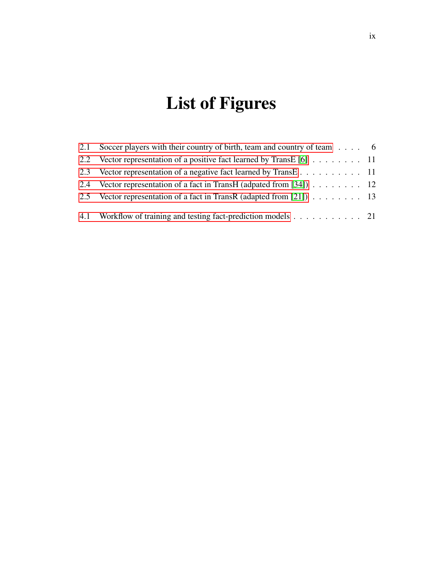## List of Figures

| 2.1 | Soccer players with their country of birth, team and country of team $\dots$ 6 |  |
|-----|--------------------------------------------------------------------------------|--|
|     | 2.2 Vector representation of a positive fact learned by TransE [6] 11          |  |
|     |                                                                                |  |
|     | 2.4 Vector representation of a fact in TransH (adpated from [34]) 12           |  |
|     | 2.5 Vector representation of a fact in TransR (adapted from [21]) 13           |  |
|     | 4.1 Workflow of training and testing fact-prediction models 21                 |  |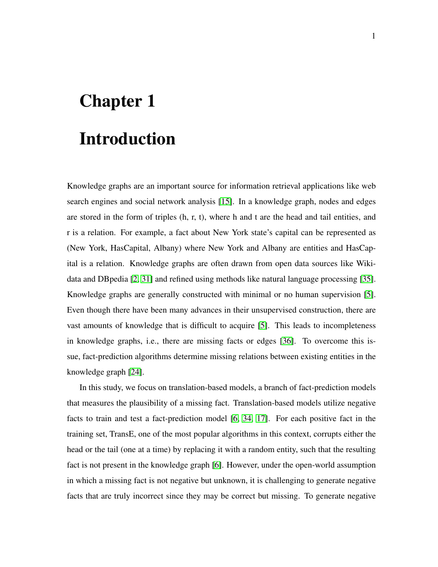# <span id="page-10-0"></span>Chapter 1 Introduction

Knowledge graphs are an important source for information retrieval applications like web search engines and social network analysis [\[15\]](#page-50-1). In a knowledge graph, nodes and edges are stored in the form of triples (h, r, t), where h and t are the head and tail entities, and r is a relation. For example, a fact about New York state's capital can be represented as (New York, HasCapital, Albany) where New York and Albany are entities and HasCapital is a relation. Knowledge graphs are often drawn from open data sources like Wikidata and DBpedia [\[2,](#page-48-1) [31\]](#page-51-0) and refined using methods like natural language processing [\[35\]](#page-52-1). Knowledge graphs are generally constructed with minimal or no human supervision [\[5\]](#page-48-2). Even though there have been many advances in their unsupervised construction, there are vast amounts of knowledge that is difficult to acquire [\[5\]](#page-48-2). This leads to incompleteness in knowledge graphs, i.e., there are missing facts or edges [\[36\]](#page-52-2). To overcome this issue, fact-prediction algorithms determine missing relations between existing entities in the knowledge graph [\[24\]](#page-51-1).

In this study, we focus on translation-based models, a branch of fact-prediction models that measures the plausibility of a missing fact. Translation-based models utilize negative facts to train and test a fact-prediction model [\[6,](#page-48-0) [34,](#page-52-0) [17\]](#page-50-2). For each positive fact in the training set, TransE, one of the most popular algorithms in this context, corrupts either the head or the tail (one at a time) by replacing it with a random entity, such that the resulting fact is not present in the knowledge graph [\[6\]](#page-48-0). However, under the open-world assumption in which a missing fact is not negative but unknown, it is challenging to generate negative facts that are truly incorrect since they may be correct but missing. To generate negative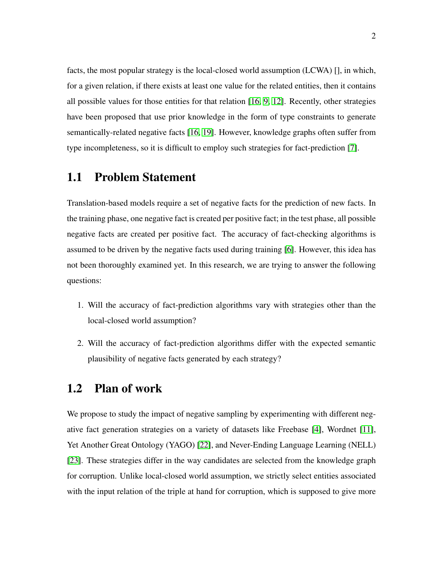facts, the most popular strategy is the local-closed world assumption (LCWA) [], in which, for a given relation, if there exists at least one value for the related entities, then it contains all possible values for those entities for that relation [\[16,](#page-50-3) [9,](#page-49-0) [12\]](#page-49-1). Recently, other strategies have been proposed that use prior knowledge in the form of type constraints to generate semantically-related negative facts [\[16,](#page-50-3) [19\]](#page-50-4). However, knowledge graphs often suffer from type incompleteness, so it is difficult to employ such strategies for fact-prediction [\[7\]](#page-49-2).

#### <span id="page-11-0"></span>1.1 Problem Statement

Translation-based models require a set of negative facts for the prediction of new facts. In the training phase, one negative fact is created per positive fact; in the test phase, all possible negative facts are created per positive fact. The accuracy of fact-checking algorithms is assumed to be driven by the negative facts used during training [\[6\]](#page-48-0). However, this idea has not been thoroughly examined yet. In this research, we are trying to answer the following questions:

- 1. Will the accuracy of fact-prediction algorithms vary with strategies other than the local-closed world assumption?
- 2. Will the accuracy of fact-prediction algorithms differ with the expected semantic plausibility of negative facts generated by each strategy?

#### <span id="page-11-1"></span>1.2 Plan of work

We propose to study the impact of negative sampling by experimenting with different negative fact generation strategies on a variety of datasets like Freebase [\[4\]](#page-48-3), Wordnet [\[11\]](#page-49-3), Yet Another Great Ontology (YAGO) [\[22\]](#page-50-5), and Never-Ending Language Learning (NELL) [\[23\]](#page-51-2). These strategies differ in the way candidates are selected from the knowledge graph for corruption. Unlike local-closed world assumption, we strictly select entities associated with the input relation of the triple at hand for corruption, which is supposed to give more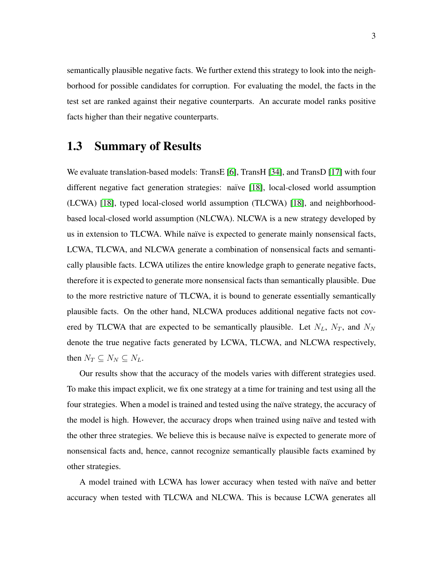semantically plausible negative facts. We further extend this strategy to look into the neighborhood for possible candidates for corruption. For evaluating the model, the facts in the test set are ranked against their negative counterparts. An accurate model ranks positive facts higher than their negative counterparts.

#### <span id="page-12-0"></span>1.3 Summary of Results

We evaluate translation-based models: TransE [\[6\]](#page-48-0), TransH [\[34\]](#page-52-0), and TransD [\[17\]](#page-50-2) with four different negative fact generation strategies: naïve [\[18\]](#page-50-6), local-closed world assumption (LCWA) [\[18\]](#page-50-6), typed local-closed world assumption (TLCWA) [\[18\]](#page-50-6), and neighborhoodbased local-closed world assumption (NLCWA). NLCWA is a new strategy developed by us in extension to TLCWA. While naïve is expected to generate mainly nonsensical facts, LCWA, TLCWA, and NLCWA generate a combination of nonsensical facts and semantically plausible facts. LCWA utilizes the entire knowledge graph to generate negative facts, therefore it is expected to generate more nonsensical facts than semantically plausible. Due to the more restrictive nature of TLCWA, it is bound to generate essentially semantically plausible facts. On the other hand, NLCWA produces additional negative facts not covered by TLCWA that are expected to be semantically plausible. Let  $N_L$ ,  $N_T$ , and  $N_N$ denote the true negative facts generated by LCWA, TLCWA, and NLCWA respectively, then  $N_T \subseteq N_N \subseteq N_L$ .

Our results show that the accuracy of the models varies with different strategies used. To make this impact explicit, we fix one strategy at a time for training and test using all the four strategies. When a model is trained and tested using the naïve strategy, the accuracy of the model is high. However, the accuracy drops when trained using naïve and tested with the other three strategies. We believe this is because naïve is expected to generate more of nonsensical facts and, hence, cannot recognize semantically plausible facts examined by other strategies.

A model trained with LCWA has lower accuracy when tested with naïve and better accuracy when tested with TLCWA and NLCWA. This is because LCWA generates all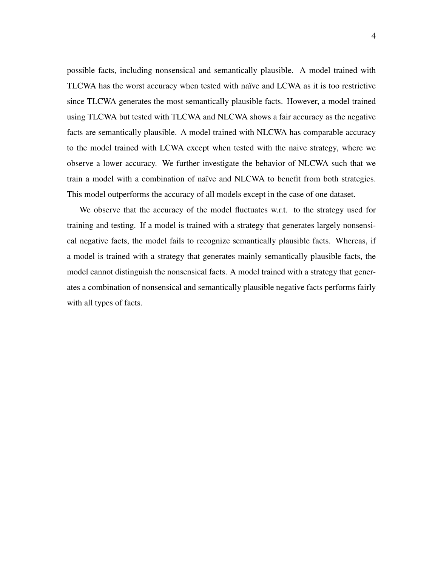possible facts, including nonsensical and semantically plausible. A model trained with TLCWA has the worst accuracy when tested with naïve and LCWA as it is too restrictive since TLCWA generates the most semantically plausible facts. However, a model trained using TLCWA but tested with TLCWA and NLCWA shows a fair accuracy as the negative facts are semantically plausible. A model trained with NLCWA has comparable accuracy to the model trained with LCWA except when tested with the naive strategy, where we observe a lower accuracy. We further investigate the behavior of NLCWA such that we train a model with a combination of naïve and NLCWA to benefit from both strategies. This model outperforms the accuracy of all models except in the case of one dataset.

We observe that the accuracy of the model fluctuates w.r.t. to the strategy used for training and testing. If a model is trained with a strategy that generates largely nonsensical negative facts, the model fails to recognize semantically plausible facts. Whereas, if a model is trained with a strategy that generates mainly semantically plausible facts, the model cannot distinguish the nonsensical facts. A model trained with a strategy that generates a combination of nonsensical and semantically plausible negative facts performs fairly with all types of facts.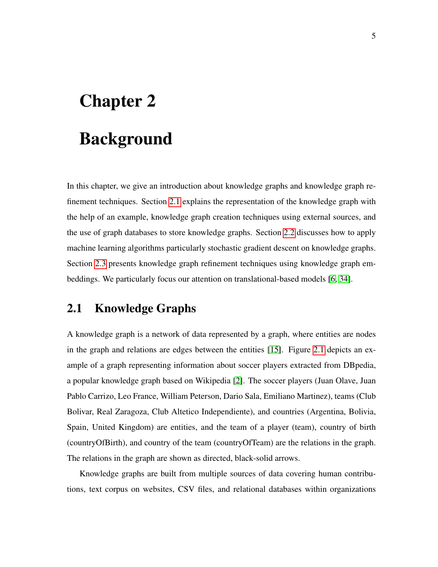## <span id="page-14-0"></span>Chapter 2

## **Background**

In this chapter, we give an introduction about knowledge graphs and knowledge graph refinement techniques. Section [2.1](#page-14-1) explains the representation of the knowledge graph with the help of an example, knowledge graph creation techniques using external sources, and the use of graph databases to store knowledge graphs. Section [2.2](#page-16-0) discusses how to apply machine learning algorithms particularly stochastic gradient descent on knowledge graphs. Section [2.3](#page-17-0) presents knowledge graph refinement techniques using knowledge graph embeddings. We particularly focus our attention on translational-based models [\[6,](#page-48-0) [34\]](#page-52-0).

#### <span id="page-14-1"></span>2.1 Knowledge Graphs

A knowledge graph is a network of data represented by a graph, where entities are nodes in the graph and relations are edges between the entities [\[15\]](#page-50-1). Figure [2.1](#page-15-0) depicts an example of a graph representing information about soccer players extracted from DBpedia, a popular knowledge graph based on Wikipedia [\[2\]](#page-48-1). The soccer players (Juan Olave, Juan Pablo Carrizo, Leo France, William Peterson, Dario Sala, Emiliano Martinez), teams (Club Bolivar, Real Zaragoza, Club Altetico Independiente), and countries (Argentina, Bolivia, Spain, United Kingdom) are entities, and the team of a player (team), country of birth (countryOfBirth), and country of the team (countryOfTeam) are the relations in the graph. The relations in the graph are shown as directed, black-solid arrows.

Knowledge graphs are built from multiple sources of data covering human contributions, text corpus on websites, CSV files, and relational databases within organizations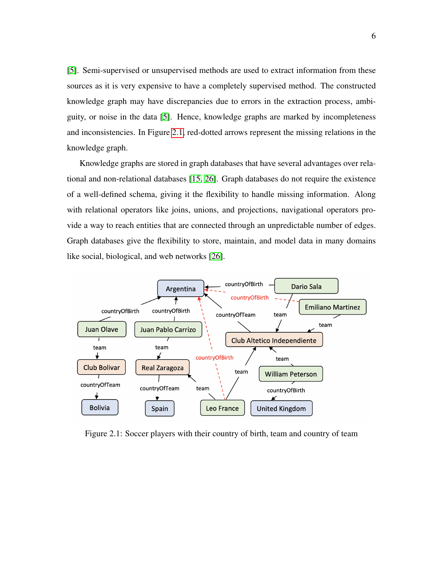[\[5\]](#page-48-2). Semi-supervised or unsupervised methods are used to extract information from these sources as it is very expensive to have a completely supervised method. The constructed knowledge graph may have discrepancies due to errors in the extraction process, ambiguity, or noise in the data [\[5\]](#page-48-2). Hence, knowledge graphs are marked by incompleteness and inconsistencies. In Figure [2.1,](#page-15-0) red-dotted arrows represent the missing relations in the knowledge graph.

Knowledge graphs are stored in graph databases that have several advantages over relational and non-relational databases [\[15,](#page-50-1) [26\]](#page-51-3). Graph databases do not require the existence of a well-defined schema, giving it the flexibility to handle missing information. Along with relational operators like joins, unions, and projections, navigational operators provide a way to reach entities that are connected through an unpredictable number of edges. Graph databases give the flexibility to store, maintain, and model data in many domains like social, biological, and web networks [\[26\]](#page-51-3).

<span id="page-15-0"></span>

Figure 2.1: Soccer players with their country of birth, team and country of team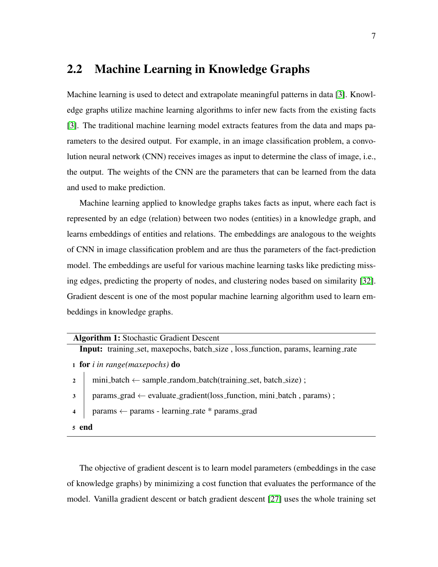#### <span id="page-16-0"></span>2.2 Machine Learning in Knowledge Graphs

Machine learning is used to detect and extrapolate meaningful patterns in data [\[3\]](#page-48-4). Knowledge graphs utilize machine learning algorithms to infer new facts from the existing facts [\[3\]](#page-48-4). The traditional machine learning model extracts features from the data and maps parameters to the desired output. For example, in an image classification problem, a convolution neural network (CNN) receives images as input to determine the class of image, i.e., the output. The weights of the CNN are the parameters that can be learned from the data and used to make prediction.

Machine learning applied to knowledge graphs takes facts as input, where each fact is represented by an edge (relation) between two nodes (entities) in a knowledge graph, and learns embeddings of entities and relations. The embeddings are analogous to the weights of CNN in image classification problem and are thus the parameters of the fact-prediction model. The embeddings are useful for various machine learning tasks like predicting missing edges, predicting the property of nodes, and clustering nodes based on similarity [\[32\]](#page-51-4). Gradient descent is one of the most popular machine learning algorithm used to learn embeddings in knowledge graphs.

|   | <b>Algorithm 1: Stochastic Gradient Descent</b>                                                   |  |  |  |  |  |  |  |  |  |
|---|---------------------------------------------------------------------------------------------------|--|--|--|--|--|--|--|--|--|
|   | <b>Input:</b> training_set, maxepochs, batch_size, loss_function, params, learning_rate           |  |  |  |  |  |  |  |  |  |
|   | 1 for <i>i</i> in range(maxepochs) do                                                             |  |  |  |  |  |  |  |  |  |
|   | mini_batch $\leftarrow$ sample_random_batch(training_set, batch_size);                            |  |  |  |  |  |  |  |  |  |
| 3 | $params\_grad \leftarrow evaluate\_gradient(\text{loss}\_function, mini\_\text{batch}, params)$ ; |  |  |  |  |  |  |  |  |  |
|   |                                                                                                   |  |  |  |  |  |  |  |  |  |

```
\frac{4}{4} params \leftarrow params - learning rate * params grad
```
<sup>5</sup> end

The objective of gradient descent is to learn model parameters (embeddings in the case of knowledge graphs) by minimizing a cost function that evaluates the performance of the model. Vanilla gradient descent or batch gradient descent [\[27\]](#page-51-5) uses the whole training set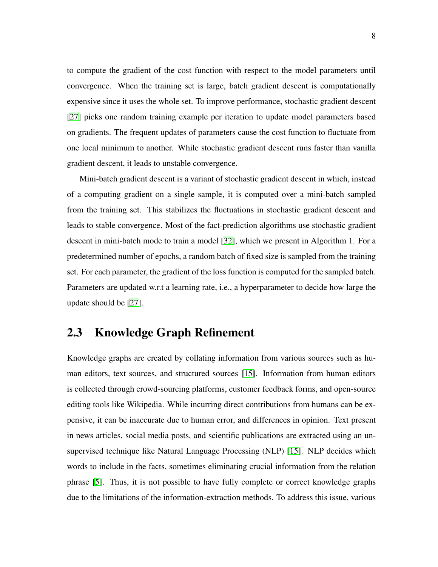to compute the gradient of the cost function with respect to the model parameters until convergence. When the training set is large, batch gradient descent is computationally expensive since it uses the whole set. To improve performance, stochastic gradient descent [\[27\]](#page-51-5) picks one random training example per iteration to update model parameters based on gradients. The frequent updates of parameters cause the cost function to fluctuate from one local minimum to another. While stochastic gradient descent runs faster than vanilla gradient descent, it leads to unstable convergence.

Mini-batch gradient descent is a variant of stochastic gradient descent in which, instead of a computing gradient on a single sample, it is computed over a mini-batch sampled from the training set. This stabilizes the fluctuations in stochastic gradient descent and leads to stable convergence. Most of the fact-prediction algorithms use stochastic gradient descent in mini-batch mode to train a model [\[32\]](#page-51-4), which we present in Algorithm 1. For a predetermined number of epochs, a random batch of fixed size is sampled from the training set. For each parameter, the gradient of the loss function is computed for the sampled batch. Parameters are updated w.r.t a learning rate, i.e., a hyperparameter to decide how large the update should be [\[27\]](#page-51-5).

#### <span id="page-17-0"></span>2.3 Knowledge Graph Refinement

Knowledge graphs are created by collating information from various sources such as human editors, text sources, and structured sources [\[15\]](#page-50-1). Information from human editors is collected through crowd-sourcing platforms, customer feedback forms, and open-source editing tools like Wikipedia. While incurring direct contributions from humans can be expensive, it can be inaccurate due to human error, and differences in opinion. Text present in news articles, social media posts, and scientific publications are extracted using an unsupervised technique like Natural Language Processing (NLP) [\[15\]](#page-50-1). NLP decides which words to include in the facts, sometimes eliminating crucial information from the relation phrase [\[5\]](#page-48-2). Thus, it is not possible to have fully complete or correct knowledge graphs due to the limitations of the information-extraction methods. To address this issue, various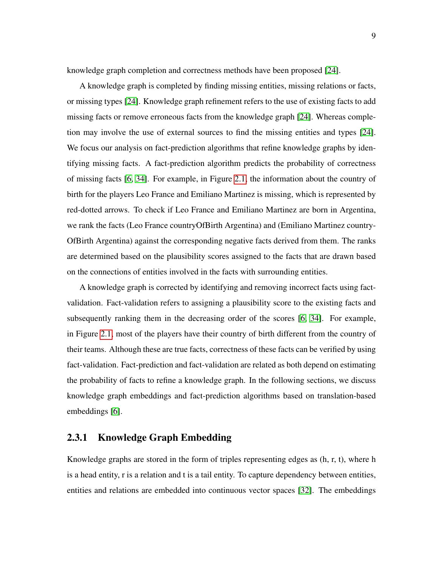knowledge graph completion and correctness methods have been proposed [\[24\]](#page-51-1).

A knowledge graph is completed by finding missing entities, missing relations or facts, or missing types [\[24\]](#page-51-1). Knowledge graph refinement refers to the use of existing facts to add missing facts or remove erroneous facts from the knowledge graph [\[24\]](#page-51-1). Whereas completion may involve the use of external sources to find the missing entities and types [\[24\]](#page-51-1). We focus our analysis on fact-prediction algorithms that refine knowledge graphs by identifying missing facts. A fact-prediction algorithm predicts the probability of correctness of missing facts [\[6,](#page-48-0) [34\]](#page-52-0). For example, in Figure [2.1,](#page-15-0) the information about the country of birth for the players Leo France and Emiliano Martinez is missing, which is represented by red-dotted arrows. To check if Leo France and Emiliano Martinez are born in Argentina, we rank the facts (Leo France countryOfBirth Argentina) and (Emiliano Martinez country-OfBirth Argentina) against the corresponding negative facts derived from them. The ranks are determined based on the plausibility scores assigned to the facts that are drawn based on the connections of entities involved in the facts with surrounding entities.

A knowledge graph is corrected by identifying and removing incorrect facts using factvalidation. Fact-validation refers to assigning a plausibility score to the existing facts and subsequently ranking them in the decreasing order of the scores [\[6,](#page-48-0) [34\]](#page-52-0). For example, in Figure [2.1,](#page-15-0) most of the players have their country of birth different from the country of their teams. Although these are true facts, correctness of these facts can be verified by using fact-validation. Fact-prediction and fact-validation are related as both depend on estimating the probability of facts to refine a knowledge graph. In the following sections, we discuss knowledge graph embeddings and fact-prediction algorithms based on translation-based embeddings [\[6\]](#page-48-0).

#### <span id="page-18-0"></span>2.3.1 Knowledge Graph Embedding

Knowledge graphs are stored in the form of triples representing edges as (h, r, t), where h is a head entity, r is a relation and t is a tail entity. To capture dependency between entities, entities and relations are embedded into continuous vector spaces [\[32\]](#page-51-4). The embeddings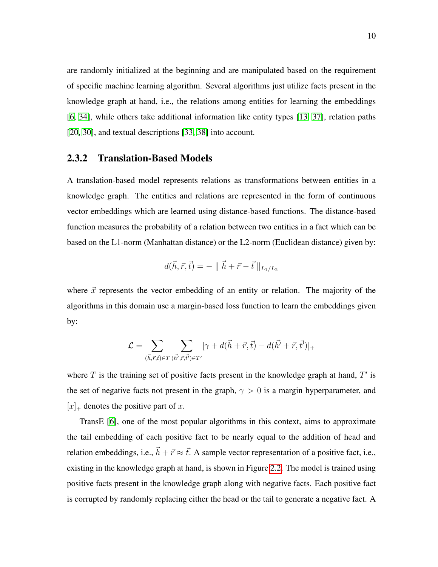are randomly initialized at the beginning and are manipulated based on the requirement of specific machine learning algorithm. Several algorithms just utilize facts present in the knowledge graph at hand, i.e., the relations among entities for learning the embeddings [\[6,](#page-48-0) [34\]](#page-52-0), while others take additional information like entity types [\[13,](#page-49-4) [37\]](#page-52-3), relation paths [\[20,](#page-50-7) [30\]](#page-51-6), and textual descriptions [\[33,](#page-52-4) [38\]](#page-52-5) into account.

#### <span id="page-19-0"></span>2.3.2 Translation-Based Models

A translation-based model represents relations as transformations between entities in a knowledge graph. The entities and relations are represented in the form of continuous vector embeddings which are learned using distance-based functions. The distance-based function measures the probability of a relation between two entities in a fact which can be based on the L1-norm (Manhattan distance) or the L2-norm (Euclidean distance) given by:

$$
d(\vec{h},\vec{r},\vec{t}) = - \parallel \vec{h} + \vec{r} - \vec{t} \parallel_{L_1/L_2}
$$

where  $\vec{x}$  represents the vector embedding of an entity or relation. The majority of the algorithms in this domain use a margin-based loss function to learn the embeddings given by:

$$
\mathcal{L} = \sum_{(\vec{h}, \vec{r}, \vec{t}) \in T} \sum_{(\vec{h'}, \vec{r}, \vec{t'}) \in T'} [\gamma + d(\vec{h} + \vec{r}, \vec{t}) - d(\vec{h'} + \vec{r}, \vec{t'})]_+
$$

where  $T$  is the training set of positive facts present in the knowledge graph at hand,  $T'$  is the set of negative facts not present in the graph,  $\gamma > 0$  is a margin hyperparameter, and  $[x]_{+}$  denotes the positive part of x.

TransE [\[6\]](#page-48-0), one of the most popular algorithms in this context, aims to approximate the tail embedding of each positive fact to be nearly equal to the addition of head and relation embeddings, i.e.,  $\vec{h} + \vec{r} \approx \vec{t}$ . A sample vector representation of a positive fact, i.e., existing in the knowledge graph at hand, is shown in Figure [2.2.](#page-20-0) The model is trained using positive facts present in the knowledge graph along with negative facts. Each positive fact is corrupted by randomly replacing either the head or the tail to generate a negative fact. A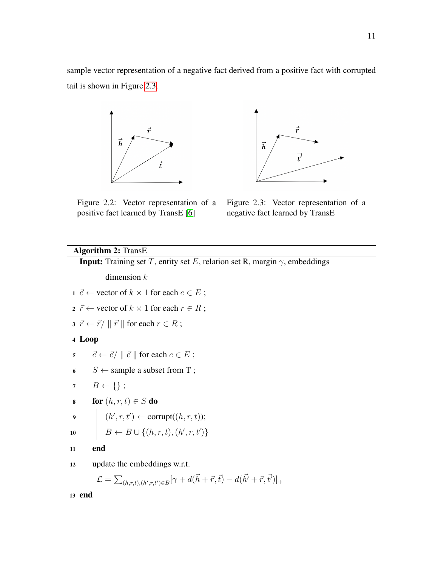<span id="page-20-0"></span>sample vector representation of a negative fact derived from a positive fact with corrupted tail is shown in Figure [2.3.](#page-20-0)





Figure 2.2: Vector representation of a positive fact learned by TransE [\[6\]](#page-48-0)

Figure 2.3: Vector representation of a negative fact learned by TransE

#### Algorithm 2: TransE

**Input:** Training set T, entity set E, relation set R, margin  $\gamma$ , embeddings dimension  $k$ 1  $\vec{e}$  ← vector of  $k \times 1$  for each  $e \in E$ ; 2  $\vec{r} \leftarrow$  vector of  $k \times 1$  for each  $r \in R$ ;  $\vec{s} \ \vec{r} \leftarrow \vec{r} / \parallel \vec{r} \parallel$  for each  $r \in R$ ; <sup>4</sup> Loop  $\vec{e} \leftarrow \vec{e} / \parallel \vec{e} \parallel$  for each  $e \in E$ ; 6  $S \leftarrow$  sample a subset from T;  $7 \mid B \leftarrow \{\};$ 8 for  $(h, r, t) \in S$  do 9  $\vert \quad \vert \quad (h',r,t') \leftarrow \text{corrupt}((h,r,t));$ 10  $\Big| B \leftarrow B \cup \{(h, r, t), (h', r, t')\}$ <sup>11</sup> end 12 vpdate the embeddings w.r.t.  $\mathcal{L} = \sum_{(h,r,t),(h',r,t') \in B} [\gamma + d(\vec{h} + \vec{r}, \vec{t}) - d(\vec{h'} + \vec{r}, \vec{t'})]_+$ 

<sup>13</sup> end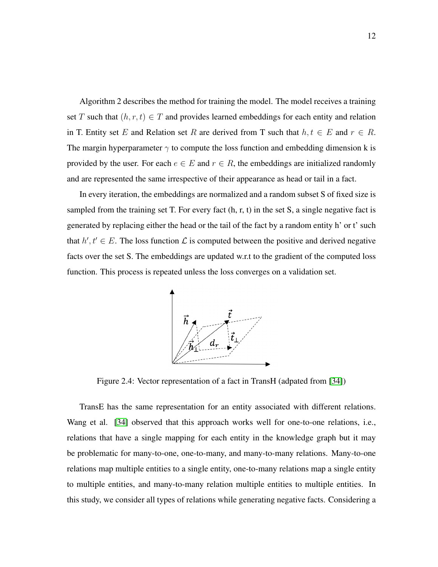Algorithm 2 describes the method for training the model. The model receives a training set T such that  $(h, r, t) \in T$  and provides learned embeddings for each entity and relation in T. Entity set E and Relation set R are derived from T such that  $h, t \in E$  and  $r \in R$ . The margin hyperparameter  $\gamma$  to compute the loss function and embedding dimension k is provided by the user. For each  $e \in E$  and  $r \in R$ , the embeddings are initialized randomly and are represented the same irrespective of their appearance as head or tail in a fact.

<span id="page-21-0"></span>In every iteration, the embeddings are normalized and a random subset S of fixed size is sampled from the training set T. For every fact (h, r, t) in the set S, a single negative fact is generated by replacing either the head or the tail of the fact by a random entity h' or t' such that  $h, t' \in E$ . The loss function  $\mathcal L$  is computed between the positive and derived negative facts over the set S. The embeddings are updated w.r.t to the gradient of the computed loss function. This process is repeated unless the loss converges on a validation set.



Figure 2.4: Vector representation of a fact in TransH (adpated from [\[34\]](#page-52-0))

TransE has the same representation for an entity associated with different relations. Wang et al. [\[34\]](#page-52-0) observed that this approach works well for one-to-one relations, i.e., relations that have a single mapping for each entity in the knowledge graph but it may be problematic for many-to-one, one-to-many, and many-to-many relations. Many-to-one relations map multiple entities to a single entity, one-to-many relations map a single entity to multiple entities, and many-to-many relation multiple entities to multiple entities. In this study, we consider all types of relations while generating negative facts. Considering a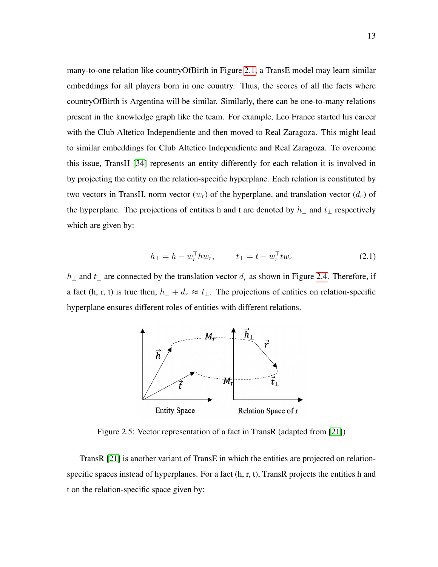many-to-one relation like countryOfBirth in Figure [2.1,](#page-15-0) a TransE model may learn similar embeddings for all players born in one country. Thus, the scores of all the facts where countryOfBirth is Argentina will be similar. Similarly, there can be one-to-many relations present in the knowledge graph like the team. For example, Leo France started his career with the Club Altetico Independiente and then moved to Real Zaragoza. This might lead to similar embeddings for Club Altetico Independiente and Real Zaragoza. To overcome this issue, TransH [\[34\]](#page-52-0) represents an entity differently for each relation it is involved in by projecting the entity on the relation-specific hyperplane. Each relation is constituted by two vectors in TransH, norm vector  $(w_r)$  of the hyperplane, and translation vector  $(d_r)$  of the hyperplane. The projections of entities h and t are denoted by  $h_{\perp}$  and  $t_{\perp}$  respectively which are given by:

$$
h_{\perp} = h - w_r^{\top} h w_r, \qquad t_{\perp} = t - w_r^{\top} t w_r \tag{2.1}
$$

<span id="page-22-0"></span> $h_{\perp}$  and  $t_{\perp}$  are connected by the translation vector  $d_r$  as shown in Figure [2.4.](#page-21-0) Therefore, if a fact (h, r, t) is true then,  $h_{\perp} + d_r \approx t_{\perp}$ . The projections of entities on relation-specific hyperplane ensures different roles of entities with different relations.



Figure 2.5: Vector representation of a fact in TransR (adapted from [\[21\]](#page-50-0))

TransR [\[21\]](#page-50-0) is another variant of TransE in which the entities are projected on relationspecific spaces instead of hyperplanes. For a fact (h, r, t), TransR projects the entities h and t on the relation-specific space given by: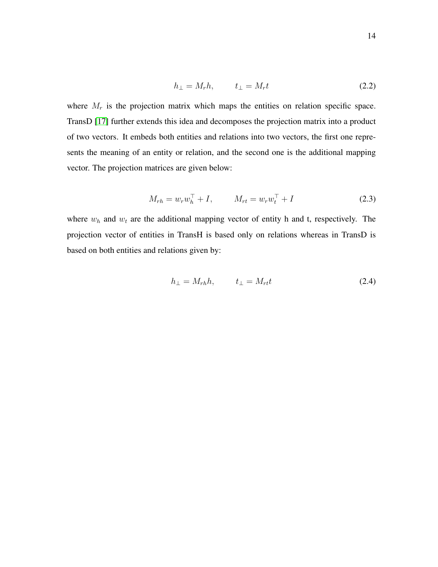$$
h_{\perp} = M_r h, \qquad t_{\perp} = M_r t \tag{2.2}
$$

where  $M_r$  is the projection matrix which maps the entities on relation specific space. TransD [\[17\]](#page-50-2) further extends this idea and decomposes the projection matrix into a product of two vectors. It embeds both entities and relations into two vectors, the first one represents the meaning of an entity or relation, and the second one is the additional mapping vector. The projection matrices are given below:

$$
M_{rh} = w_r w_h^{\top} + I, \qquad M_{rt} = w_r w_t^{\top} + I \tag{2.3}
$$

where  $w_h$  and  $w_t$  are the additional mapping vector of entity h and t, respectively. The projection vector of entities in TransH is based only on relations whereas in TransD is based on both entities and relations given by:

$$
h_{\perp} = M_{rh}h, \qquad t_{\perp} = M_{rt}t \tag{2.4}
$$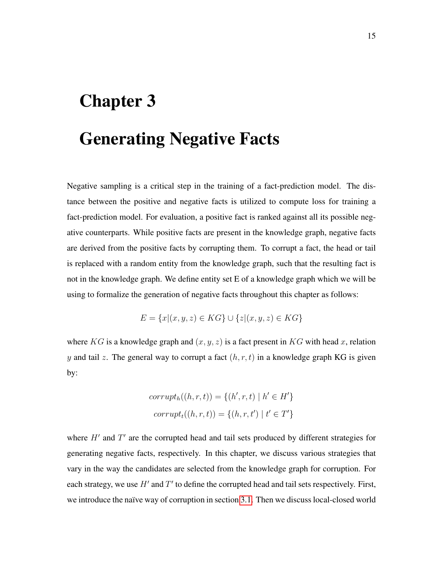# <span id="page-24-0"></span>Chapter 3

## Generating Negative Facts

Negative sampling is a critical step in the training of a fact-prediction model. The distance between the positive and negative facts is utilized to compute loss for training a fact-prediction model. For evaluation, a positive fact is ranked against all its possible negative counterparts. While positive facts are present in the knowledge graph, negative facts are derived from the positive facts by corrupting them. To corrupt a fact, the head or tail is replaced with a random entity from the knowledge graph, such that the resulting fact is not in the knowledge graph. We define entity set E of a knowledge graph which we will be using to formalize the generation of negative facts throughout this chapter as follows:

$$
E = \{x | (x, y, z) \in KG\} \cup \{z | (x, y, z) \in KG\}
$$

where KG is a knowledge graph and  $(x, y, z)$  is a fact present in KG with head x, relation y and tail z. The general way to corrupt a fact  $(h, r, t)$  in a knowledge graph KG is given by:

$$
corrupth((h,r,t)) = \{(h',r,t) | h' \in H'\}
$$

$$
corruptt((h,r,t)) = \{(h,r,t') | t' \in T'\}
$$

where  $H'$  and  $T'$  are the corrupted head and tail sets produced by different strategies for generating negative facts, respectively. In this chapter, we discuss various strategies that vary in the way the candidates are selected from the knowledge graph for corruption. For each strategy, we use  $H'$  and  $T'$  to define the corrupted head and tail sets respectively. First, we introduce the naïve way of corruption in section [3.1.](#page-25-0) Then we discuss local-closed world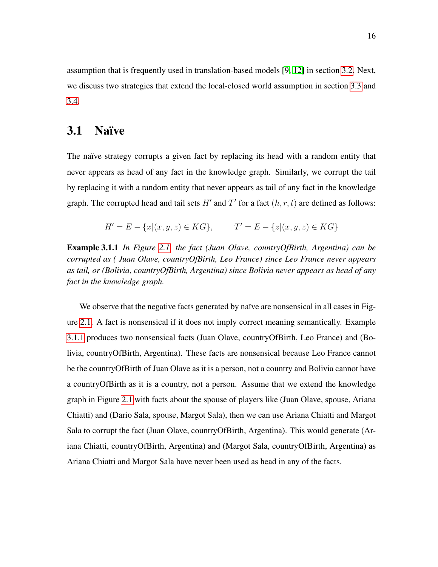assumption that is frequently used in translation-based models [\[9,](#page-49-0) [12\]](#page-49-1) in section [3.2.](#page-26-0) Next, we discuss two strategies that extend the local-closed world assumption in section [3.3](#page-26-1) and [3.4.](#page-28-0)

#### <span id="page-25-0"></span>3.1 Naïve

The naïve strategy corrupts a given fact by replacing its head with a random entity that never appears as head of any fact in the knowledge graph. Similarly, we corrupt the tail by replacing it with a random entity that never appears as tail of any fact in the knowledge graph. The corrupted head and tail sets  $H'$  and  $T'$  for a fact  $(h, r, t)$  are defined as follows:

$$
H' = E - \{x | (x, y, z) \in KG\}, \qquad T' = E - \{z | (x, y, z) \in KG\}
$$

<span id="page-25-1"></span>Example 3.1.1 *In Figure [2.1,](#page-15-0) the fact (Juan Olave, countryOfBirth, Argentina) can be corrupted as ( Juan Olave, countryOfBirth, Leo France) since Leo France never appears as tail, or (Bolivia, countryOfBirth, Argentina) since Bolivia never appears as head of any fact in the knowledge graph.*

We observe that the negative facts generated by naïve are nonsensical in all cases in Figure [2.1.](#page-15-0) A fact is nonsensical if it does not imply correct meaning semantically. Example [3.1.1](#page-25-1) produces two nonsensical facts (Juan Olave, countryOfBirth, Leo France) and (Bolivia, countryOfBirth, Argentina). These facts are nonsensical because Leo France cannot be the countryOfBirth of Juan Olave as it is a person, not a country and Bolivia cannot have a countryOfBirth as it is a country, not a person. Assume that we extend the knowledge graph in Figure [2.1](#page-15-0) with facts about the spouse of players like (Juan Olave, spouse, Ariana Chiatti) and (Dario Sala, spouse, Margot Sala), then we can use Ariana Chiatti and Margot Sala to corrupt the fact (Juan Olave, countryOfBirth, Argentina). This would generate (Ariana Chiatti, countryOfBirth, Argentina) and (Margot Sala, countryOfBirth, Argentina) as Ariana Chiatti and Margot Sala have never been used as head in any of the facts.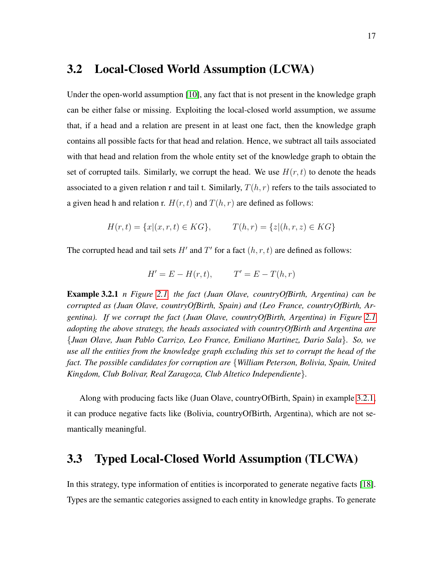#### <span id="page-26-0"></span>3.2 Local-Closed World Assumption (LCWA)

Under the open-world assumption [\[10\]](#page-49-5), any fact that is not present in the knowledge graph can be either false or missing. Exploiting the local-closed world assumption, we assume that, if a head and a relation are present in at least one fact, then the knowledge graph contains all possible facts for that head and relation. Hence, we subtract all tails associated with that head and relation from the whole entity set of the knowledge graph to obtain the set of corrupted tails. Similarly, we corrupt the head. We use  $H(r, t)$  to denote the heads associated to a given relation r and tail t. Similarly,  $T(h, r)$  refers to the tails associated to a given head h and relation r.  $H(r, t)$  and  $T(h, r)$  are defined as follows:

$$
H(r,t) = \{x | (x, r, t) \in KG\}, \qquad T(h,r) = \{z | (h,r,z) \in KG\}
$$

The corrupted head and tail sets H' and T' for a fact  $(h, r, t)$  are defined as follows:

$$
H' = E - H(r, t), \qquad T' = E - T(h, r)
$$

<span id="page-26-2"></span>Example 3.2.1 *n Figure [2.1,](#page-15-0) the fact (Juan Olave, countryOfBirth, Argentina) can be corrupted as (Juan Olave, countryOfBirth, Spain) and (Leo France, countryOfBirth, Argentina). If we corrupt the fact (Juan Olave, countryOfBirth, Argentina) in Figure [2.1](#page-15-0) adopting the above strategy, the heads associated with countryOfBirth and Argentina are* {*Juan Olave, Juan Pablo Carrizo, Leo France, Emiliano Martinez, Dario Sala*}*. So, we use all the entities from the knowledge graph excluding this set to corrupt the head of the fact. The possible candidates for corruption are* {*William Peterson, Bolivia, Spain, United Kingdom, Club Bolivar, Real Zaragoza, Club Altetico Independiente*}*.*

Along with producing facts like (Juan Olave, countryOfBirth, Spain) in example [3.2.1,](#page-26-2) it can produce negative facts like (Bolivia, countryOfBirth, Argentina), which are not semantically meaningful.

#### <span id="page-26-1"></span>3.3 Typed Local-Closed World Assumption (TLCWA)

In this strategy, type information of entities is incorporated to generate negative facts [\[18\]](#page-50-6). Types are the semantic categories assigned to each entity in knowledge graphs. To generate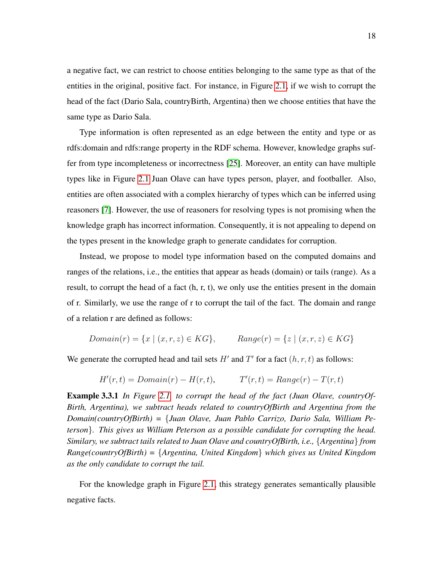a negative fact, we can restrict to choose entities belonging to the same type as that of the entities in the original, positive fact. For instance, in Figure [2.1,](#page-15-0) if we wish to corrupt the head of the fact (Dario Sala, countryBirth, Argentina) then we choose entities that have the same type as Dario Sala.

Type information is often represented as an edge between the entity and type or as rdfs:domain and rdfs:range property in the RDF schema. However, knowledge graphs suffer from type incompleteness or incorrectness [\[25\]](#page-51-7). Moreover, an entity can have multiple types like in Figure [2.1](#page-15-0) Juan Olave can have types person, player, and footballer. Also, entities are often associated with a complex hierarchy of types which can be inferred using reasoners [\[7\]](#page-49-2). However, the use of reasoners for resolving types is not promising when the knowledge graph has incorrect information. Consequently, it is not appealing to depend on the types present in the knowledge graph to generate candidates for corruption.

Instead, we propose to model type information based on the computed domains and ranges of the relations, i.e., the entities that appear as heads (domain) or tails (range). As a result, to corrupt the head of a fact (h, r, t), we only use the entities present in the domain of r. Similarly, we use the range of r to corrupt the tail of the fact. The domain and range of a relation r are defined as follows:

$$
Domain(r) = \{x \mid (x, r, z) \in KG\}, \qquad Range(r) = \{z \mid (x, r, z) \in KG\}
$$

We generate the corrupted head and tail sets  $H'$  and  $T'$  for a fact  $(h, r, t)$  as follows:

$$
H'(r,t) = Domain(r) - H(r,t), \qquad T'(r,t) = Range(r) - T(r,t)
$$

Example 3.3.1 *In Figure [2.1,](#page-15-0) to corrupt the head of the fact (Juan Olave, countryOf-Birth, Argentina), we subtract heads related to countryOfBirth and Argentina from the Domain(countryOfBirth) =* {*Juan Olave, Juan Pablo Carrizo, Dario Sala, William Peterson*}*. This gives us William Peterson as a possible candidate for corrupting the head. Similary, we subtract tails related to Juan Olave and countryOfBirth, i.e.,* {*Argentina*} *from Range(countryOfBirth) =* {*Argentina, United Kingdom*} *which gives us United Kingdom as the only candidate to corrupt the tail.*

For the knowledge graph in Figure [2.1,](#page-15-0) this strategy generates semantically plausible negative facts.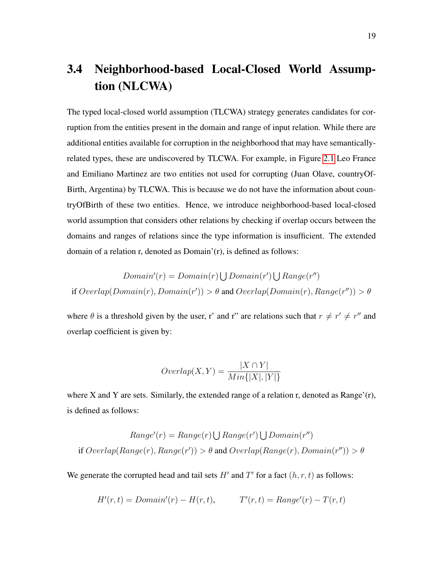### <span id="page-28-0"></span>3.4 Neighborhood-based Local-Closed World Assumption (NLCWA)

The typed local-closed world assumption (TLCWA) strategy generates candidates for corruption from the entities present in the domain and range of input relation. While there are additional entities available for corruption in the neighborhood that may have semanticallyrelated types, these are undiscovered by TLCWA. For example, in Figure [2.1](#page-15-0) Leo France and Emiliano Martinez are two entities not used for corrupting (Juan Olave, countryOf-Birth, Argentina) by TLCWA. This is because we do not have the information about countryOfBirth of these two entities. Hence, we introduce neighborhood-based local-closed world assumption that considers other relations by checking if overlap occurs between the domains and ranges of relations since the type information is insufficient. The extended domain of a relation r, denoted as Domain'(r), is defined as follows:

$$
Domain'(r) = Domain(r) \bigcup Domain(r') \bigcup Range(r'')
$$
  
if  $Overlap(Domain(r), Domain(r')) > \theta$  and  $Overlap(Domain(r), Range(r'')) > \theta$ 

where  $\theta$  is a threshold given by the user, r' and r" are relations such that  $r \neq r' \neq r''$  and overlap coefficient is given by:

$$
Overlap(X, Y) = \frac{|X \cap Y|}{Min\{|X|, |Y|\}}
$$

where X and Y are sets. Similarly, the extended range of a relation r, denoted as Range'(r), is defined as follows:

$$
Range'(r) = Range(r) \cup Range(r') \cup Domain(r'')
$$
  
if  $Overlap(Range(r), Range(r')) > \theta$  and  $Overlap(Range(r), Domain(r'')) > \theta$ 

We generate the corrupted head and tail sets  $H'$  and  $T'$  for a fact  $(h, r, t)$  as follows:

$$
H'(r,t) = Domain'(r) - H(r,t), \qquad T'(r,t) = Range'(r) - T(r,t)
$$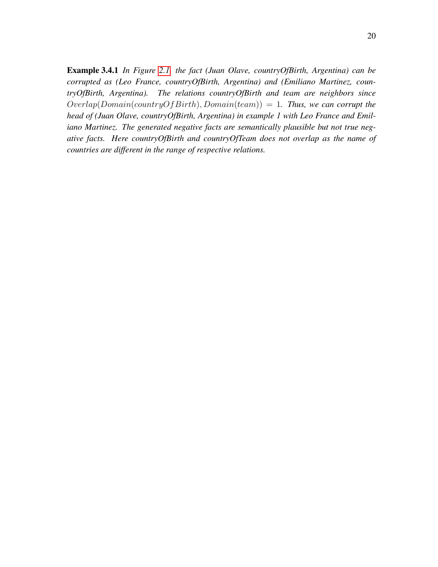Example 3.4.1 *In Figure [2.1,](#page-15-0) the fact (Juan Olave, countryOfBirth, Argentina) can be corrupted as (Leo France, countryOfBirth, Argentina) and (Emiliano Martinez, countryOfBirth, Argentina). The relations countryOfBirth and team are neighbors since*  $Overlap(Domain(countryOf Birth), Domain(team)) = 1$ . Thus, we can corrupt the *head of (Juan Olave, countryOfBirth, Argentina) in example 1 with Leo France and Emiliano Martinez. The generated negative facts are semantically plausible but not true negative facts. Here countryOfBirth and countryOfTeam does not overlap as the name of countries are different in the range of respective relations.*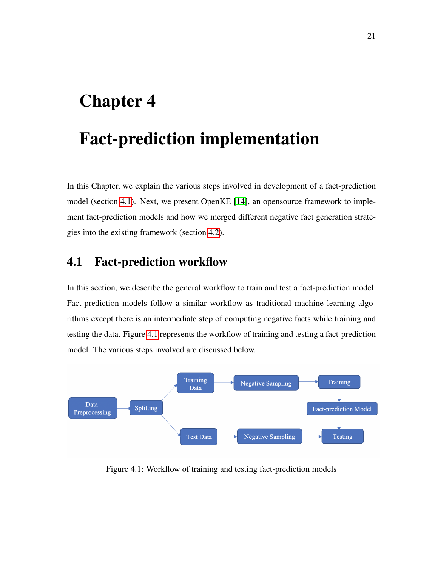## <span id="page-30-0"></span>Chapter 4

## Fact-prediction implementation

In this Chapter, we explain the various steps involved in development of a fact-prediction model (section [4.1\)](#page-30-1). Next, we present OpenKE [\[14\]](#page-49-6), an opensource framework to implement fact-prediction models and how we merged different negative fact generation strategies into the existing framework (section [4.2\)](#page-32-0).

#### <span id="page-30-1"></span>4.1 Fact-prediction workflow

In this section, we describe the general workflow to train and test a fact-prediction model. Fact-prediction models follow a similar workflow as traditional machine learning algorithms except there is an intermediate step of computing negative facts while training and testing the data. Figure [4.1](#page-30-2) represents the workflow of training and testing a fact-prediction model. The various steps involved are discussed below.

<span id="page-30-2"></span>

Figure 4.1: Workflow of training and testing fact-prediction models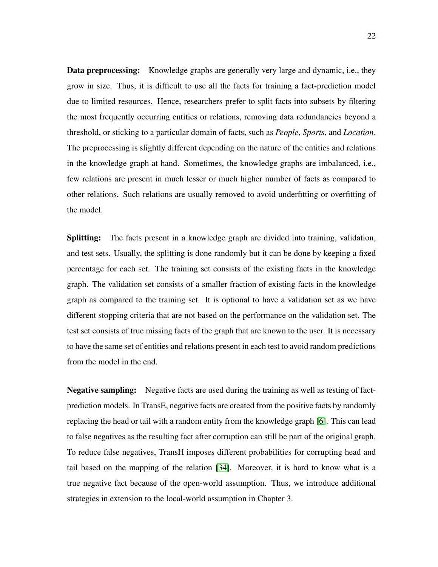Data preprocessing: Knowledge graphs are generally very large and dynamic, i.e., they grow in size. Thus, it is difficult to use all the facts for training a fact-prediction model due to limited resources. Hence, researchers prefer to split facts into subsets by filtering the most frequently occurring entities or relations, removing data redundancies beyond a threshold, or sticking to a particular domain of facts, such as *People*, *Sports*, and *Location*. The preprocessing is slightly different depending on the nature of the entities and relations in the knowledge graph at hand. Sometimes, the knowledge graphs are imbalanced, i.e., few relations are present in much lesser or much higher number of facts as compared to other relations. Such relations are usually removed to avoid underfitting or overfitting of the model.

Splitting: The facts present in a knowledge graph are divided into training, validation, and test sets. Usually, the splitting is done randomly but it can be done by keeping a fixed percentage for each set. The training set consists of the existing facts in the knowledge graph. The validation set consists of a smaller fraction of existing facts in the knowledge graph as compared to the training set. It is optional to have a validation set as we have different stopping criteria that are not based on the performance on the validation set. The test set consists of true missing facts of the graph that are known to the user. It is necessary to have the same set of entities and relations present in each test to avoid random predictions from the model in the end.

Negative sampling: Negative facts are used during the training as well as testing of factprediction models. In TransE, negative facts are created from the positive facts by randomly replacing the head or tail with a random entity from the knowledge graph [\[6\]](#page-48-0). This can lead to false negatives as the resulting fact after corruption can still be part of the original graph. To reduce false negatives, TransH imposes different probabilities for corrupting head and tail based on the mapping of the relation [\[34\]](#page-52-0). Moreover, it is hard to know what is a true negative fact because of the open-world assumption. Thus, we introduce additional strategies in extension to the local-world assumption in Chapter 3.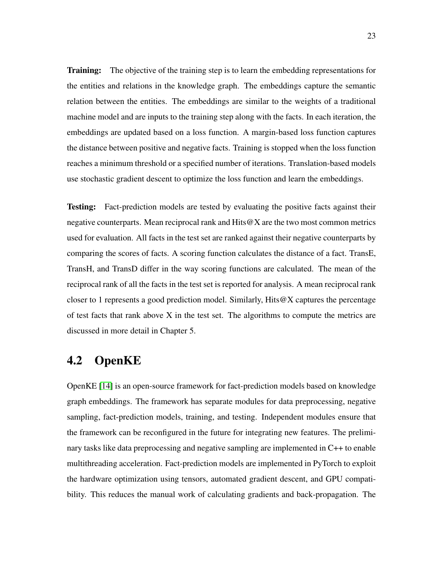**Training:** The objective of the training step is to learn the embedding representations for the entities and relations in the knowledge graph. The embeddings capture the semantic relation between the entities. The embeddings are similar to the weights of a traditional machine model and are inputs to the training step along with the facts. In each iteration, the embeddings are updated based on a loss function. A margin-based loss function captures the distance between positive and negative facts. Training is stopped when the loss function reaches a minimum threshold or a specified number of iterations. Translation-based models use stochastic gradient descent to optimize the loss function and learn the embeddings.

Testing: Fact-prediction models are tested by evaluating the positive facts against their negative counterparts. Mean reciprocal rank and  $Hits@X$  are the two most common metrics used for evaluation. All facts in the test set are ranked against their negative counterparts by comparing the scores of facts. A scoring function calculates the distance of a fact. TransE, TransH, and TransD differ in the way scoring functions are calculated. The mean of the reciprocal rank of all the facts in the test set is reported for analysis. A mean reciprocal rank closer to 1 represents a good prediction model. Similarly, Hits@X captures the percentage of test facts that rank above  $X$  in the test set. The algorithms to compute the metrics are discussed in more detail in Chapter 5.

#### <span id="page-32-0"></span>4.2 OpenKE

OpenKE [\[14\]](#page-49-6) is an open-source framework for fact-prediction models based on knowledge graph embeddings. The framework has separate modules for data preprocessing, negative sampling, fact-prediction models, training, and testing. Independent modules ensure that the framework can be reconfigured in the future for integrating new features. The preliminary tasks like data preprocessing and negative sampling are implemented in C++ to enable multithreading acceleration. Fact-prediction models are implemented in PyTorch to exploit the hardware optimization using tensors, automated gradient descent, and GPU compatibility. This reduces the manual work of calculating gradients and back-propagation. The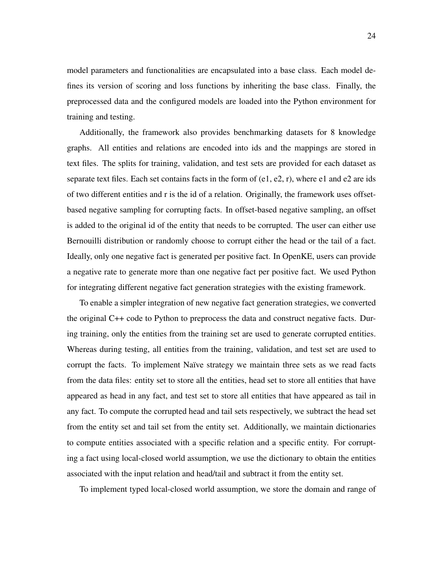model parameters and functionalities are encapsulated into a base class. Each model defines its version of scoring and loss functions by inheriting the base class. Finally, the preprocessed data and the configured models are loaded into the Python environment for training and testing.

Additionally, the framework also provides benchmarking datasets for 8 knowledge graphs. All entities and relations are encoded into ids and the mappings are stored in text files. The splits for training, validation, and test sets are provided for each dataset as separate text files. Each set contains facts in the form of (e1, e2, r), where e1 and e2 are ids of two different entities and r is the id of a relation. Originally, the framework uses offsetbased negative sampling for corrupting facts. In offset-based negative sampling, an offset is added to the original id of the entity that needs to be corrupted. The user can either use Bernouilli distribution or randomly choose to corrupt either the head or the tail of a fact. Ideally, only one negative fact is generated per positive fact. In OpenKE, users can provide a negative rate to generate more than one negative fact per positive fact. We used Python for integrating different negative fact generation strategies with the existing framework.

To enable a simpler integration of new negative fact generation strategies, we converted the original C++ code to Python to preprocess the data and construct negative facts. During training, only the entities from the training set are used to generate corrupted entities. Whereas during testing, all entities from the training, validation, and test set are used to corrupt the facts. To implement Naïve strategy we maintain three sets as we read facts from the data files: entity set to store all the entities, head set to store all entities that have appeared as head in any fact, and test set to store all entities that have appeared as tail in any fact. To compute the corrupted head and tail sets respectively, we subtract the head set from the entity set and tail set from the entity set. Additionally, we maintain dictionaries to compute entities associated with a specific relation and a specific entity. For corrupting a fact using local-closed world assumption, we use the dictionary to obtain the entities associated with the input relation and head/tail and subtract it from the entity set.

To implement typed local-closed world assumption, we store the domain and range of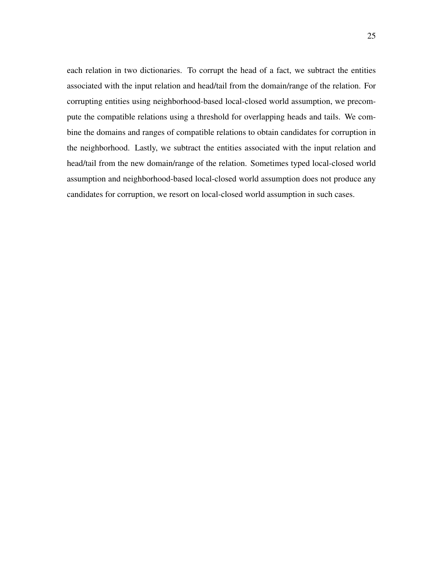each relation in two dictionaries. To corrupt the head of a fact, we subtract the entities associated with the input relation and head/tail from the domain/range of the relation. For corrupting entities using neighborhood-based local-closed world assumption, we precompute the compatible relations using a threshold for overlapping heads and tails. We combine the domains and ranges of compatible relations to obtain candidates for corruption in the neighborhood. Lastly, we subtract the entities associated with the input relation and head/tail from the new domain/range of the relation. Sometimes typed local-closed world assumption and neighborhood-based local-closed world assumption does not produce any candidates for corruption, we resort on local-closed world assumption in such cases.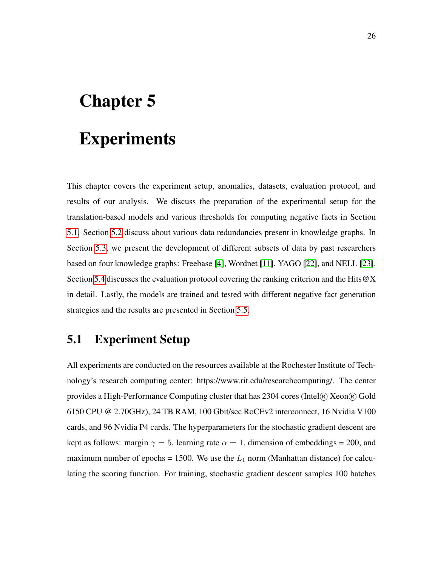# <span id="page-35-0"></span>Chapter 5

## Experiments

This chapter covers the experiment setup, anomalies, datasets, evaluation protocol, and results of our analysis. We discuss the preparation of the experimental setup for the translation-based models and various thresholds for computing negative facts in Section [5.1.](#page-35-1) Section [5.2](#page-36-0) discuss about various data redundancies present in knowledge graphs. In Section [5.3,](#page-37-0) we present the development of different subsets of data by past researchers based on four knowledge graphs: Freebase [\[4\]](#page-48-3), Wordnet [\[11\]](#page-49-3), YAGO [\[22\]](#page-50-5), and NELL [\[23\]](#page-51-2). Section [5.4](#page-39-0) discusses the evaluation protocol covering the ranking criterion and the Hits@X in detail. Lastly, the models are trained and tested with different negative fact generation strategies and the results are presented in Section [5.5.](#page-42-0)

#### <span id="page-35-1"></span>5.1 Experiment Setup

All experiments are conducted on the resources available at the Rochester Institute of Technology's research computing center: https://www.rit.edu/researchcomputing/. The center provides a High-Performance Computing cluster that has  $2304$  cores (Intel $\overline{R}$ ) Xeon $\overline{R}$ ) Gold 6150 CPU @ 2.70GHz), 24 TB RAM, 100 Gbit/sec RoCEv2 interconnect, 16 Nvidia V100 cards, and 96 Nvidia P4 cards. The hyperparameters for the stochastic gradient descent are kept as follows: margin  $\gamma = 5$ , learning rate  $\alpha = 1$ , dimension of embeddings = 200, and maximum number of epochs = 1500. We use the  $L_1$  norm (Manhattan distance) for calculating the scoring function. For training, stochastic gradient descent samples 100 batches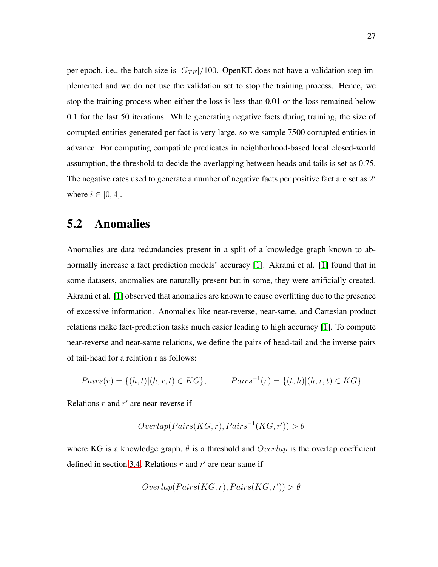per epoch, i.e., the batch size is  $|G_{TE}|/100$ . OpenKE does not have a validation step implemented and we do not use the validation set to stop the training process. Hence, we stop the training process when either the loss is less than 0.01 or the loss remained below 0.1 for the last 50 iterations. While generating negative facts during training, the size of corrupted entities generated per fact is very large, so we sample 7500 corrupted entities in advance. For computing compatible predicates in neighborhood-based local closed-world assumption, the threshold to decide the overlapping between heads and tails is set as 0.75. The negative rates used to generate a number of negative facts per positive fact are set as  $2^i$ where  $i \in [0, 4]$ .

#### <span id="page-36-0"></span>5.2 Anomalies

Anomalies are data redundancies present in a split of a knowledge graph known to abnormally increase a fact prediction models' accuracy [\[1\]](#page-48-5). Akrami et al. [\[1\]](#page-48-5) found that in some datasets, anomalies are naturally present but in some, they were artificially created. Akrami et al. [\[1\]](#page-48-5) observed that anomalies are known to cause overfitting due to the presence of excessive information. Anomalies like near-reverse, near-same, and Cartesian product relations make fact-prediction tasks much easier leading to high accuracy [\[1\]](#page-48-5). To compute near-reverse and near-same relations, we define the pairs of head-tail and the inverse pairs of tail-head for a relation r as follows:

$$
Pairs(r) = \{(h, t) | (h, r, t) \in KG\}, \qquad Pairs^{-1}(r) = \{(t, h) | (h, r, t) \in KG\}
$$

Relations  $r$  and  $r'$  are near-reverse if

$$
Overlap(Pairs(KG, r), Pairs^{-1}(KG, r')) > \theta
$$

where KG is a knowledge graph,  $\theta$  is a threshold and  $Overlap$  is the overlap coefficient defined in section [3.4.](#page-28-0) Relations  $r$  and  $r'$  are near-same if

$$
Overlap(Pairs(KG, r), Pairs(KG, r')) > \theta
$$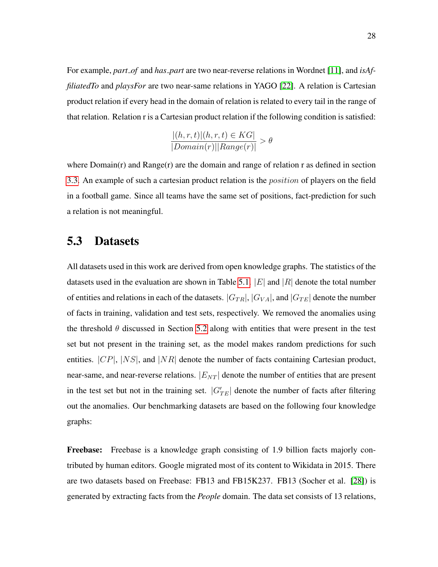For example, *part\_of* and *has\_part* are two near-reverse relations in Wordnet [\[11\]](#page-49-3), and *isAffiliatedTo* and *playsFor* are two near-same relations in YAGO [\[22\]](#page-50-5). A relation is Cartesian product relation if every head in the domain of relation is related to every tail in the range of that relation. Relation r is a Cartesian product relation if the following condition is satisfied:

$$
\frac{|(h,r,t)|(h,r,t) \in KG|}{|Domain(r)||Range(r)|} > \theta
$$

where  $Domain(r)$  and  $Range(r)$  are the domain and range of relation r as defined in section [3.3.](#page-26-1) An example of such a cartesian product relation is the *position* of players on the field in a football game. Since all teams have the same set of positions, fact-prediction for such a relation is not meaningful.

#### <span id="page-37-0"></span>5.3 Datasets

All datasets used in this work are derived from open knowledge graphs. The statistics of the datasets used in the evaluation are shown in Table [5.1.](#page-38-0)  $|E|$  and  $|R|$  denote the total number of entities and relations in each of the datasets.  $|G_{TR}|$ ,  $|G_{VA}|$ , and  $|G_{TE}|$  denote the number of facts in training, validation and test sets, respectively. We removed the anomalies using the threshold  $\theta$  discussed in Section [5.2](#page-36-0) along with entities that were present in the test set but not present in the training set, as the model makes random predictions for such entities.  $|CP|$ ,  $|NS|$ , and  $|NR|$  denote the number of facts containing Cartesian product, near-same, and near-reverse relations.  $|E_{NT}|$  denote the number of entities that are present in the test set but not in the training set.  $|G'_{TE}|$  denote the number of facts after filtering out the anomalies. Our benchmarking datasets are based on the following four knowledge graphs:

Freebase: Freebase is a knowledge graph consisting of 1.9 billion facts majorly contributed by human editors. Google migrated most of its content to Wikidata in 2015. There are two datasets based on Freebase: FB13 and FB15K237. FB13 (Socher et al. [\[28\]](#page-51-8)) is generated by extracting facts from the *People* domain. The data set consists of 13 relations,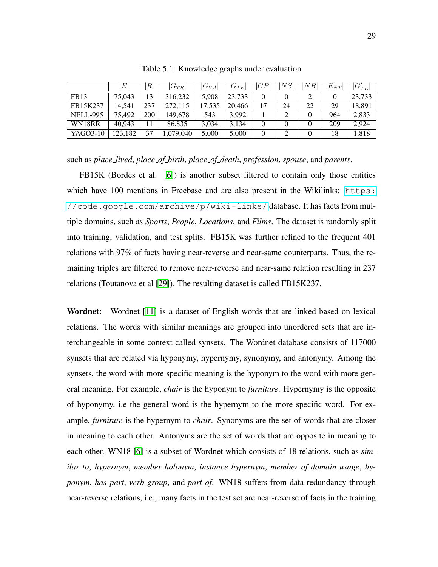<span id="page-38-0"></span>

|                 |         | $R^{\mid}$ | $ G_{TR} $ | $ G_{VA} $ | $ G_{TE} $ | CP       | NS | NR | $E_{NT}$ | $ G'_{TE} $ |
|-----------------|---------|------------|------------|------------|------------|----------|----|----|----------|-------------|
| FB13            | 75,043  | 13         | 316,232    | 5,908      | 23,733     |          |    |    |          | 23,733      |
| FB15K237        | 14.541  | 237        | 272,115    | 17,535     | 20,466     | 17       | 24 | 22 | 29       | 18,891      |
| <b>NELL-995</b> | 75,492  | 200        | 149.678    | 543        | 3,992      |          |    |    | 964      | 2,833       |
| WN18RR          | 40.943  |            | 86,835     | 3.034      | 3,134      | $\Omega$ |    |    | 209      | 2,924       |
| YAGO3-10        | 123,182 | 37         | 1,079,040  | 5,000      | 5,000      |          |    |    | 18       | 1,818       |

Table 5.1: Knowledge graphs under evaluation

such as *place lived*, *place of birth*, *place of death*, *profession*, *spouse*, and *parents*.

FB15K (Bordes et al. [\[6\]](#page-48-0)) is another subset filtered to contain only those entities which have  $100$  mentions in Freebase and are also present in the Wikilinks:  $https:$ [//code.google.com/archive/p/wiki-links/](https://code.google.com/archive/p/wiki-links/) database. It has facts from multiple domains, such as *Sports*, *People*, *Locations*, and *Films*. The dataset is randomly split into training, validation, and test splits. FB15K was further refined to the frequent 401 relations with 97% of facts having near-reverse and near-same counterparts. Thus, the remaining triples are filtered to remove near-reverse and near-same relation resulting in 237 relations (Toutanova et al [\[29\]](#page-51-9)). The resulting dataset is called FB15K237.

Wordnet: Wordnet [\[11\]](#page-49-3) is a dataset of English words that are linked based on lexical relations. The words with similar meanings are grouped into unordered sets that are interchangeable in some context called synsets. The Wordnet database consists of 117000 synsets that are related via hyponymy, hypernymy, synonymy, and antonymy. Among the synsets, the word with more specific meaning is the hyponym to the word with more general meaning. For example, *chair* is the hyponym to *furniture*. Hypernymy is the opposite of hyponymy, i.e the general word is the hypernym to the more specific word. For example, *furniture* is the hypernym to *chair*. Synonyms are the set of words that are closer in meaning to each other. Antonyms are the set of words that are opposite in meaning to each other. WN18 [\[6\]](#page-48-0) is a subset of Wordnet which consists of 18 relations, such as *similar to*, *hypernym*, *member holonym*, *instance hypernym*, *member of domain usage*, *hyponym*, *has part*, *verb group*, and *part of*. WN18 suffers from data redundancy through near-reverse relations, i.e., many facts in the test set are near-reverse of facts in the training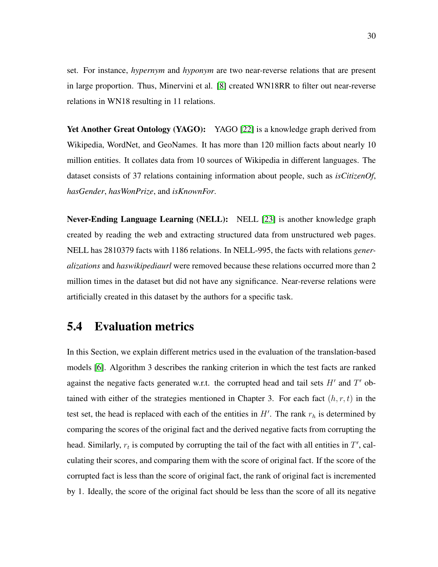set. For instance, *hypernym* and *hyponym* are two near-reverse relations that are present in large proportion. Thus, Minervini et al. [\[8\]](#page-49-7) created WN18RR to filter out near-reverse relations in WN18 resulting in 11 relations.

Yet Another Great Ontology (YAGO): YAGO [\[22\]](#page-50-5) is a knowledge graph derived from Wikipedia, WordNet, and GeoNames. It has more than 120 million facts about nearly 10 million entities. It collates data from 10 sources of Wikipedia in different languages. The dataset consists of 37 relations containing information about people, such as *isCitizenOf*, *hasGender*, *hasWonPrize*, and *isKnownFor*.

Never-Ending Language Learning (NELL): NELL [\[23\]](#page-51-2) is another knowledge graph created by reading the web and extracting structured data from unstructured web pages. NELL has 2810379 facts with 1186 relations. In NELL-995, the facts with relations *generalizations* and *haswikipediaurl* were removed because these relations occurred more than 2 million times in the dataset but did not have any significance. Near-reverse relations were artificially created in this dataset by the authors for a specific task.

#### <span id="page-39-0"></span>5.4 Evaluation metrics

In this Section, we explain different metrics used in the evaluation of the translation-based models [\[6\]](#page-48-0). Algorithm 3 describes the ranking criterion in which the test facts are ranked against the negative facts generated w.r.t. the corrupted head and tail sets  $H'$  and  $T'$  obtained with either of the strategies mentioned in Chapter 3. For each fact  $(h, r, t)$  in the test set, the head is replaced with each of the entities in  $H'$ . The rank  $r<sub>h</sub>$  is determined by comparing the scores of the original fact and the derived negative facts from corrupting the head. Similarly,  $r_t$  is computed by corrupting the tail of the fact with all entities in  $T'$ , calculating their scores, and comparing them with the score of original fact. If the score of the corrupted fact is less than the score of original fact, the rank of original fact is incremented by 1. Ideally, the score of the original fact should be less than the score of all its negative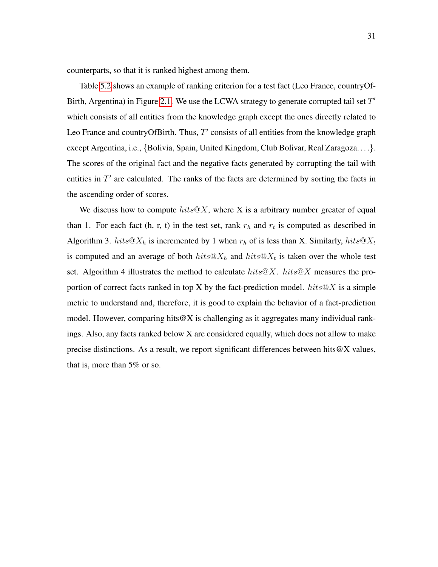counterparts, so that it is ranked highest among them.

Table [5.2](#page-41-0) shows an example of ranking criterion for a test fact (Leo France, countryOf-Birth, Argentina) in Figure [2.1.](#page-15-0) We use the LCWA strategy to generate corrupted tail set  $T'$ which consists of all entities from the knowledge graph except the ones directly related to Leo France and country Of Birth. Thus,  $T'$  consists of all entities from the knowledge graph except Argentina, i.e., {Bolivia, Spain, United Kingdom, Club Bolivar, Real Zaragoza...}. The scores of the original fact and the negative facts generated by corrupting the tail with entities in  $T'$  are calculated. The ranks of the facts are determined by sorting the facts in the ascending order of scores.

We discuss how to compute  $hits@X$ , where X is a arbitrary number greater of equal than 1. For each fact (h, r, t) in the test set, rank  $r_h$  and  $r_t$  is computed as described in Algorithm 3.  $hits@X_h$  is incremented by 1 when  $r_h$  of is less than X. Similarly,  $hits@X_t$ is computed and an average of both  $hits@X_h$  and  $hits@X_t$  is taken over the whole test set. Algorithm 4 illustrates the method to calculate  $hits@X$ .  $hits@X$  measures the proportion of correct facts ranked in top X by the fact-prediction model.  $hits@X$  is a simple metric to understand and, therefore, it is good to explain the behavior of a fact-prediction model. However, comparing hits  $\mathcal{Q}X$  is challenging as it aggregates many individual rankings. Also, any facts ranked below X are considered equally, which does not allow to make precise distinctions. As a result, we report significant differences between hits $@X$  values, that is, more than 5% or so.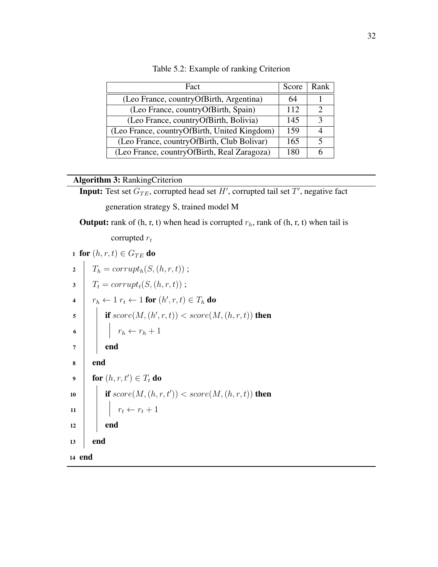<span id="page-41-0"></span>

| Fact                                         | Score | Rank |
|----------------------------------------------|-------|------|
| (Leo France, countryOfBirth, Argentina)      | 64    |      |
| (Leo France, country Of Birth, Spain)        | 112   |      |
| (Leo France, countryOfBirth, Bolivia)        | 145   |      |
| (Leo France, countryOfBirth, United Kingdom) | 159   |      |
| (Leo France, country Of Birth, Club Bolivar) | 165   |      |
| (Leo France, countryOfBirth, Real Zaragoza)  | 180   |      |

Table 5.2: Example of ranking Criterion

#### Algorithm 3: RankingCriterion

**Input:** Test set  $G_{TE}$ , corrupted head set H', corrupted tail set T', negative fact

generation strategy S, trained model M

**Output:** rank of  $(h, r, t)$  when head is corrupted  $r_h$ , rank of  $(h, r, t)$  when tail is

corrupted  $r_t$ 

|                         | 1 for $(h, r, t) \in G_{TE}$ do                                    |
|-------------------------|--------------------------------------------------------------------|
| $\mathbf 2$             | $T_h = corrupt_h(S, (h, r, t))$ ;                                  |
| $\overline{\mathbf{3}}$ | $T_t = corrupt_t(S, (h, r, t))$ ;                                  |
| $\overline{\mathbf{4}}$ | $r_h \leftarrow 1 \; r_t \leftarrow 1$ for $(h', r, t) \in T_h$ do |
| $\overline{\mathbf{5}}$ | if $score(M, (h', r, t)) < score(M, (h, r, t))$ then               |
| $\overline{6}$          | $\begin{array}{ c c }\n r_h \leftarrow r_h + 1\n\end{array}$       |
| $\overline{7}$          | end                                                                |
| 8                       | end                                                                |
| $\boldsymbol{9}$        | for $(h, r, t') \in T_t$ do                                        |
| 10                      | if $score(M, (h, r, t')) < score(M, (h, r, t))$ then               |
| $\overline{11}$         | $\begin{array}{c} \n r_t \leftarrow r_t + 1\n \end{array}$         |
| 12                      | end                                                                |
| 13                      | end                                                                |
| 14 end                  |                                                                    |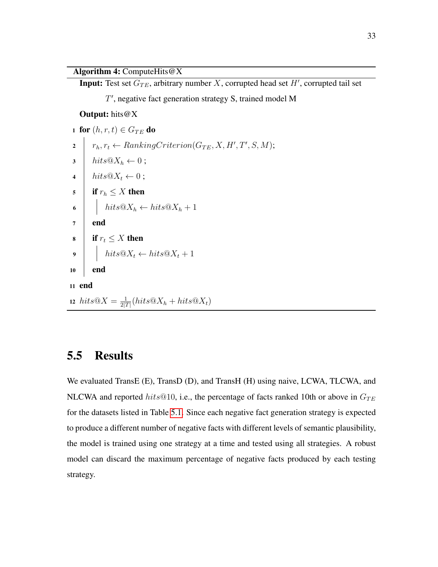#### Algorithm 4: ComputeHits@X

**Input:** Test set  $G_{TE}$ , arbitrary number X, corrupted head set H', corrupted tail set

T', negative fact generation strategy S, trained model M

#### Output: hits@X

1 for  $(h, r, t) \in G_{TE}$  do  $2 \mid r_h, r_t \leftarrow RankingCriterion(G_{TE}, X, H', T', S, M);$  $\mathbf{3}$  | hits $@X_h \leftarrow 0;$ 4  $\int$  hits  $@X_t \leftarrow 0$ ; 5 if  $r_h \leq X$  then 6 |  $hits@X_h \leftarrow hits@X_h + 1$  $7$  end 8 if  $r_t \leq X$  then 9 |  $hits@X_t \leftarrow hits@X_t + 1$ <sup>10</sup> end <sup>11</sup> end 12 hits $@X = \frac{1}{2\sqrt{2}}$  $\frac{1}{2|T|}(hits@X_h + hits@X_t)$ 

#### <span id="page-42-0"></span>5.5 Results

We evaluated TransE (E), TransD (D), and TransH (H) using naive, LCWA, TLCWA, and NLCWA and reported hits@10, i.e., the percentage of facts ranked 10th or above in  $G_{TE}$ for the datasets listed in Table [5.1.](#page-38-0) Since each negative fact generation strategy is expected to produce a different number of negative facts with different levels of semantic plausibility, the model is trained using one strategy at a time and tested using all strategies. A robust model can discard the maximum percentage of negative facts produced by each testing strategy.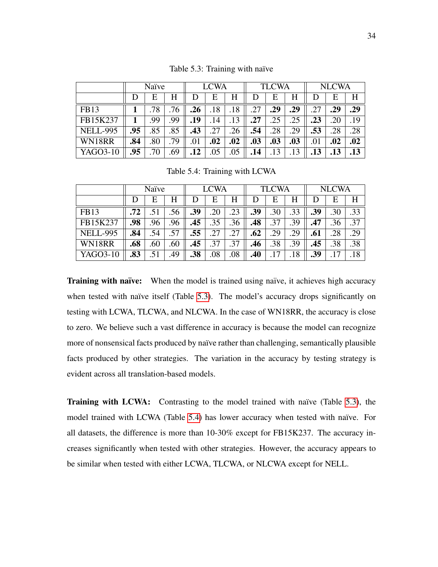<span id="page-43-0"></span>

|                 | Naïve |     |     | <b>LCWA</b> |     |     |     | <b>TLCWA</b> |     | <b>NLCWA</b> |     |     |
|-----------------|-------|-----|-----|-------------|-----|-----|-----|--------------|-----|--------------|-----|-----|
|                 |       | E   | Η   | D           | E   | H   | D   | E            | Η   | D            | E   | H   |
| <b>FB13</b>     |       | .78 | .76 | .26         | .18 | .18 | .27 | .29          | .29 | .27          | .29 | .29 |
| FB15K237        |       | .99 | .99 | .19         | .14 | .13 | .27 | .25          | .25 | .23          | .20 | .19 |
| <b>NELL-995</b> | .95   | .85 | .85 | .43         | .27 | .26 | .54 | .28          | .29 | .53          | .28 | .28 |
| WN18RR          | .84   | .80 | .79 | .01         | .02 | .02 | .03 | .03          | .03 | .01          | .02 | .02 |
| YAGO3-10        | .95   | .70 | .69 | .12         | .05 | .05 | .14 | .13          | .13 | .13          | .13 | .13 |

Table 5.3: Training with naïve

Table 5.4: Training with LCWA

<span id="page-43-1"></span>

|                 | Naïve |     |     | <b>LCWA</b> |     |     |     | <b>TLCWA</b> |     | <b>NLCWA</b> |     |     |
|-----------------|-------|-----|-----|-------------|-----|-----|-----|--------------|-----|--------------|-----|-----|
|                 |       | Е   | Н   |             | Е   | Н   | D   | Е            | Н   |              | E   | H   |
| <b>FB13</b>     | .72   | .51 | .56 | .39         | .20 | .23 | .39 | .30          | .33 | .39          | .30 | .33 |
| FB15K237        | .98   | .96 | .96 | .45         | .35 | .36 | .48 | .37          | .39 | .47          | .36 | .37 |
| <b>NELL-995</b> | .84   | .54 | .57 | .55         | .27 | .27 | .62 | .29          | .29 | .61          | .28 | .29 |
| WN18RR          | .68   | .60 | .60 | .45         | .37 | .37 | .46 | .38          | .39 | .45          | .38 | .38 |
| YAGO3-10        | .83   | .51 | .49 | .38         | .08 | .08 | .40 |              | .18 | .39          |     | 18  |

Training with naïve: When the model is trained using naïve, it achieves high accuracy when tested with naïve itself (Table [5.3\)](#page-43-0). The model's accuracy drops significantly on testing with LCWA, TLCWA, and NLCWA. In the case of WN18RR, the accuracy is close to zero. We believe such a vast difference in accuracy is because the model can recognize more of nonsensical facts produced by naïve rather than challenging, semantically plausible facts produced by other strategies. The variation in the accuracy by testing strategy is evident across all translation-based models.

Training with LCWA: Contrasting to the model trained with naïve (Table [5.3\)](#page-43-0), the model trained with LCWA (Table [5.4\)](#page-43-1) has lower accuracy when tested with naïve. For all datasets, the difference is more than 10-30% except for FB15K237. The accuracy increases significantly when tested with other strategies. However, the accuracy appears to be similar when tested with either LCWA, TLCWA, or NLCWA except for NELL.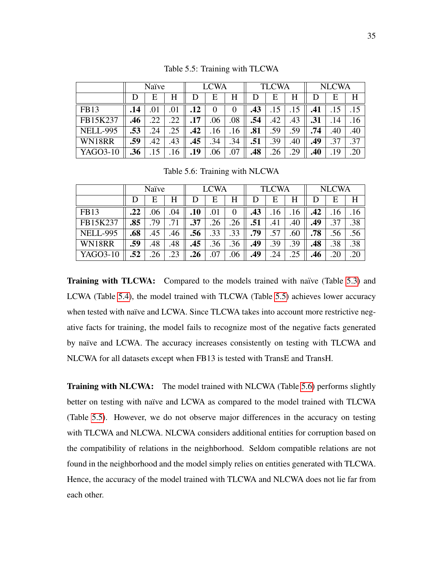<span id="page-44-0"></span>

|                 | Naïve |     |     | <b>LCWA</b> |          |          |     | <b>TLCWA</b> |     | <b>NLCWA</b> |     |     |
|-----------------|-------|-----|-----|-------------|----------|----------|-----|--------------|-----|--------------|-----|-----|
|                 |       | Ε   | H   | D           | Е        | H        | Ð   | E            | H   | Ð            | E   | H   |
| <b>FB13</b>     | .14   | .01 |     | .12         | $\theta$ | $\theta$ | .43 | 15           |     | .41          |     |     |
| FB15K237        | .46   | 22  | .22 | .17         | .06      | .08      | .54 | .42          | .43 | .31          | .14 | .16 |
| <b>NELL-995</b> | .53   | .24 | .25 | .42         | .16      | .16      | .81 | .59          | .59 | .74          | .40 | .40 |
| WN18RR          | .59   | .42 | .43 | .45         | .34      | .34      | .51 | .39          | .40 | .49          | .37 | .37 |
| YAGO3-10        | .36   | .15 | .16 | .19         | .06      | .07      | .48 | .26          | .29 | .40          | .19 | .20 |

Table 5.5: Training with TLCWA

Table 5.6: Training with NLCWA

<span id="page-44-1"></span>

|                 | Naïve |     |     | <b>LCWA</b> |     |     |     | <b>TLCWA</b> |     | <b>NLCWA</b> |     |     |
|-----------------|-------|-----|-----|-------------|-----|-----|-----|--------------|-----|--------------|-----|-----|
|                 |       | Е   | H   |             | Е   | H   | D   | Е            | H   |              | E   | H   |
| <b>FB13</b>     | .22   | .06 | .04 | .10         | .01 |     | .43 | .16          | .16 | .42          | .16 | .16 |
| FB15K237        | .85   | 79  |     | .37         | 26  | .26 | .51 | .41          | .40 | .49          | .37 | .38 |
| <b>NELL-995</b> | .68   | .45 | .46 | .56         | .33 | .33 | .79 | .57          | .60 | .78          | .56 | .56 |
| WN18RR          | .59   | .48 | .48 | .45         | .36 | .36 | .49 | .39          | .39 | .48          | .38 | .38 |
| YAGO3-10        | .52   | .26 | .23 | .26         | .07 | .06 | .49 | .24          | .25 | .46          | .20 | .20 |

Training with TLCWA: Compared to the models trained with naïve (Table [5.3\)](#page-43-0) and LCWA (Table [5.4\)](#page-43-1), the model trained with TLCWA (Table [5.5\)](#page-44-0) achieves lower accuracy when tested with naïve and LCWA. Since TLCWA takes into account more restrictive negative facts for training, the model fails to recognize most of the negative facts generated by naïve and LCWA. The accuracy increases consistently on testing with TLCWA and NLCWA for all datasets except when FB13 is tested with TransE and TransH.

Training with NLCWA: The model trained with NLCWA (Table [5.6\)](#page-44-1) performs slightly better on testing with naïve and LCWA as compared to the model trained with TLCWA (Table [5.5\)](#page-44-0). However, we do not observe major differences in the accuracy on testing with TLCWA and NLCWA. NLCWA considers additional entities for corruption based on the compatibility of relations in the neighborhood. Seldom compatible relations are not found in the neighborhood and the model simply relies on entities generated with TLCWA. Hence, the accuracy of the model trained with TLCWA and NLCWA does not lie far from each other.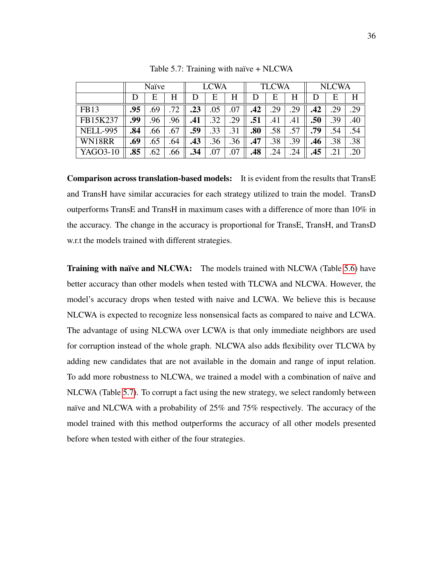<span id="page-45-0"></span>

|                 | Naïve |     |     | <b>LCWA</b> |     |     | <b>TLCWA</b> |     |     | <b>NLCWA</b> |           |     |
|-----------------|-------|-----|-----|-------------|-----|-----|--------------|-----|-----|--------------|-----------|-----|
|                 |       | Е   | H   |             | Е   | Н   | D            | Е   |     |              | E         | H   |
| <b>FB13</b>     | .95   | .69 | .72 | .23         | .05 | .07 | .42          | .29 | .29 | .42          | .29       | .29 |
| FB15K237        | .99   | .96 | .96 | .41         | .32 | .29 | .51          | .41 | .41 | .50          | .39       | .40 |
| <b>NELL-995</b> | .84   | .66 | .67 | .59         | .33 | .31 | .80          | .58 | .57 | .79          | .54       | .54 |
| WN18RR          | .69   | .65 | .64 | .43         | .36 | .36 | .47          | .38 | .39 | .46          | .38       | .38 |
| YAGO3-10        | .85   | .62 | .66 | .34         | .07 | .07 | .48          | .24 | .24 | .45          | $\cdot$ 2 | .20 |

Table 5.7: Training with naïve  $+$  NLCWA

Comparison across translation-based models: It is evident from the results that TransE and TransH have similar accuracies for each strategy utilized to train the model. TransD outperforms TransE and TransH in maximum cases with a difference of more than  $10\%$  in the accuracy. The change in the accuracy is proportional for TransE, TransH, and TransD w.r.t the models trained with different strategies.

Training with naïve and NLCWA: The models trained with NLCWA (Table [5.6\)](#page-44-1) have better accuracy than other models when tested with TLCWA and NLCWA. However, the model's accuracy drops when tested with naive and LCWA. We believe this is because NLCWA is expected to recognize less nonsensical facts as compared to naive and LCWA. The advantage of using NLCWA over LCWA is that only immediate neighbors are used for corruption instead of the whole graph. NLCWA also adds flexibility over TLCWA by adding new candidates that are not available in the domain and range of input relation. To add more robustness to NLCWA, we trained a model with a combination of naïve and NLCWA (Table [5.7\)](#page-45-0). To corrupt a fact using the new strategy, we select randomly between naïve and NLCWA with a probability of 25% and 75% respectively. The accuracy of the model trained with this method outperforms the accuracy of all other models presented before when tested with either of the four strategies.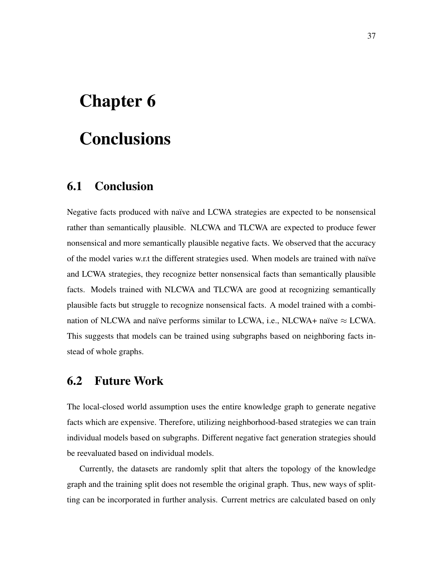# <span id="page-46-0"></span>Chapter 6

## **Conclusions**

#### <span id="page-46-1"></span>6.1 Conclusion

Negative facts produced with naïve and LCWA strategies are expected to be nonsensical rather than semantically plausible. NLCWA and TLCWA are expected to produce fewer nonsensical and more semantically plausible negative facts. We observed that the accuracy of the model varies w.r.t the different strategies used. When models are trained with naïve and LCWA strategies, they recognize better nonsensical facts than semantically plausible facts. Models trained with NLCWA and TLCWA are good at recognizing semantically plausible facts but struggle to recognize nonsensical facts. A model trained with a combination of NLCWA and naïve performs similar to LCWA, i.e., NLCWA+ naïve  $\approx$  LCWA. This suggests that models can be trained using subgraphs based on neighboring facts instead of whole graphs.

#### <span id="page-46-2"></span>6.2 Future Work

The local-closed world assumption uses the entire knowledge graph to generate negative facts which are expensive. Therefore, utilizing neighborhood-based strategies we can train individual models based on subgraphs. Different negative fact generation strategies should be reevaluated based on individual models.

Currently, the datasets are randomly split that alters the topology of the knowledge graph and the training split does not resemble the original graph. Thus, new ways of splitting can be incorporated in further analysis. Current metrics are calculated based on only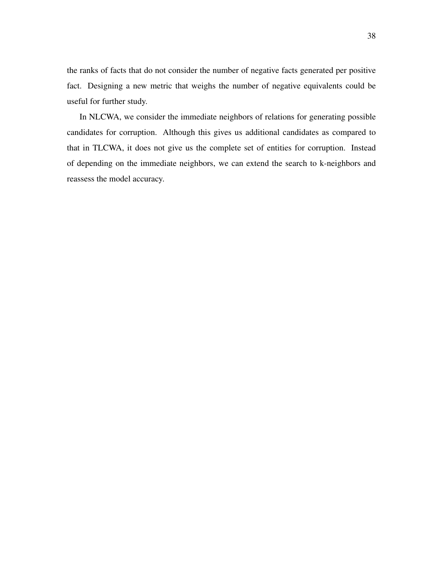the ranks of facts that do not consider the number of negative facts generated per positive fact. Designing a new metric that weighs the number of negative equivalents could be useful for further study.

In NLCWA, we consider the immediate neighbors of relations for generating possible candidates for corruption. Although this gives us additional candidates as compared to that in TLCWA, it does not give us the complete set of entities for corruption. Instead of depending on the immediate neighbors, we can extend the search to k-neighbors and reassess the model accuracy.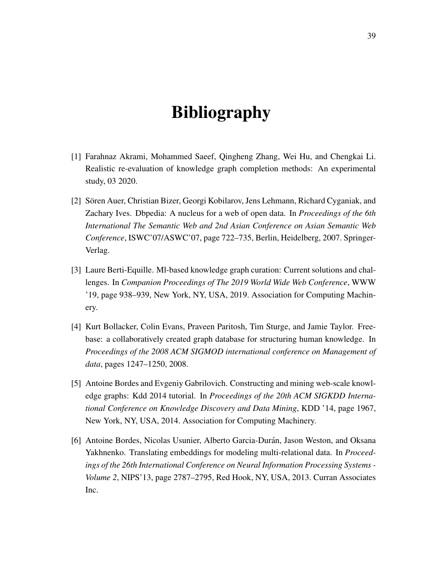## Bibliography

- <span id="page-48-5"></span>[1] Farahnaz Akrami, Mohammed Saeef, Qingheng Zhang, Wei Hu, and Chengkai Li. Realistic re-evaluation of knowledge graph completion methods: An experimental study, 03 2020.
- <span id="page-48-1"></span>[2] Sören Auer, Christian Bizer, Georgi Kobilarov, Jens Lehmann, Richard Cyganiak, and Zachary Ives. Dbpedia: A nucleus for a web of open data. In *Proceedings of the 6th International The Semantic Web and 2nd Asian Conference on Asian Semantic Web Conference*, ISWC'07/ASWC'07, page 722–735, Berlin, Heidelberg, 2007. Springer-Verlag.
- <span id="page-48-4"></span>[3] Laure Berti-Equille. Ml-based knowledge graph curation: Current solutions and challenges. In *Companion Proceedings of The 2019 World Wide Web Conference*, WWW '19, page 938–939, New York, NY, USA, 2019. Association for Computing Machinery.
- <span id="page-48-3"></span>[4] Kurt Bollacker, Colin Evans, Praveen Paritosh, Tim Sturge, and Jamie Taylor. Freebase: a collaboratively created graph database for structuring human knowledge. In *Proceedings of the 2008 ACM SIGMOD international conference on Management of data*, pages 1247–1250, 2008.
- <span id="page-48-2"></span>[5] Antoine Bordes and Evgeniy Gabrilovich. Constructing and mining web-scale knowledge graphs: Kdd 2014 tutorial. In *Proceedings of the 20th ACM SIGKDD International Conference on Knowledge Discovery and Data Mining*, KDD '14, page 1967, New York, NY, USA, 2014. Association for Computing Machinery.
- <span id="page-48-0"></span>[6] Antoine Bordes, Nicolas Usunier, Alberto Garcia-Durán, Jason Weston, and Oksana Yakhnenko. Translating embeddings for modeling multi-relational data. In *Proceedings of the 26th International Conference on Neural Information Processing Systems - Volume 2*, NIPS'13, page 2787–2795, Red Hook, NY, USA, 2013. Curran Associates Inc.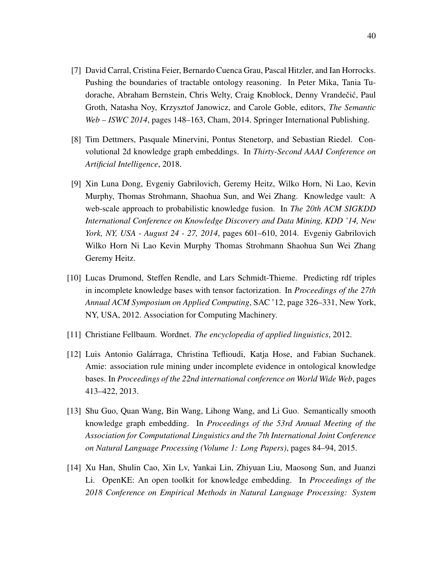- <span id="page-49-2"></span>[7] David Carral, Cristina Feier, Bernardo Cuenca Grau, Pascal Hitzler, and Ian Horrocks. Pushing the boundaries of tractable ontology reasoning. In Peter Mika, Tania Tudorache, Abraham Bernstein, Chris Welty, Craig Knoblock, Denny Vrandečić, Paul Groth, Natasha Noy, Krzysztof Janowicz, and Carole Goble, editors, *The Semantic Web – ISWC 2014*, pages 148–163, Cham, 2014. Springer International Publishing.
- <span id="page-49-7"></span>[8] Tim Dettmers, Pasquale Minervini, Pontus Stenetorp, and Sebastian Riedel. Convolutional 2d knowledge graph embeddings. In *Thirty-Second AAAI Conference on Artificial Intelligence*, 2018.
- <span id="page-49-0"></span>[9] Xin Luna Dong, Evgeniy Gabrilovich, Geremy Heitz, Wilko Horn, Ni Lao, Kevin Murphy, Thomas Strohmann, Shaohua Sun, and Wei Zhang. Knowledge vault: A web-scale approach to probabilistic knowledge fusion. In *The 20th ACM SIGKDD International Conference on Knowledge Discovery and Data Mining, KDD '14, New York, NY, USA - August 24 - 27, 2014*, pages 601–610, 2014. Evgeniy Gabrilovich Wilko Horn Ni Lao Kevin Murphy Thomas Strohmann Shaohua Sun Wei Zhang Geremy Heitz.
- <span id="page-49-5"></span>[10] Lucas Drumond, Steffen Rendle, and Lars Schmidt-Thieme. Predicting rdf triples in incomplete knowledge bases with tensor factorization. In *Proceedings of the 27th Annual ACM Symposium on Applied Computing*, SAC '12, page 326–331, New York, NY, USA, 2012. Association for Computing Machinery.
- <span id="page-49-3"></span>[11] Christiane Fellbaum. Wordnet. *The encyclopedia of applied linguistics*, 2012.
- <span id="page-49-1"></span>[12] Luis Antonio Galárraga, Christina Teflioudi, Katja Hose, and Fabian Suchanek. Amie: association rule mining under incomplete evidence in ontological knowledge bases. In *Proceedings of the 22nd international conference on World Wide Web*, pages 413–422, 2013.
- <span id="page-49-4"></span>[13] Shu Guo, Quan Wang, Bin Wang, Lihong Wang, and Li Guo. Semantically smooth knowledge graph embedding. In *Proceedings of the 53rd Annual Meeting of the Association for Computational Linguistics and the 7th International Joint Conference on Natural Language Processing (Volume 1: Long Papers)*, pages 84–94, 2015.
- <span id="page-49-6"></span>[14] Xu Han, Shulin Cao, Xin Lv, Yankai Lin, Zhiyuan Liu, Maosong Sun, and Juanzi Li. OpenKE: An open toolkit for knowledge embedding. In *Proceedings of the 2018 Conference on Empirical Methods in Natural Language Processing: System*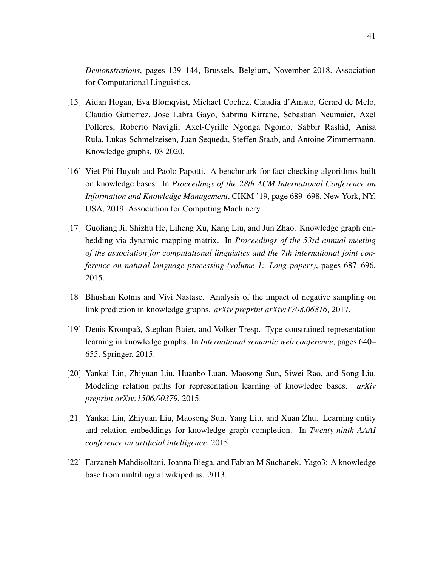*Demonstrations*, pages 139–144, Brussels, Belgium, November 2018. Association for Computational Linguistics.

- <span id="page-50-1"></span>[15] Aidan Hogan, Eva Blomqvist, Michael Cochez, Claudia d'Amato, Gerard de Melo, Claudio Gutierrez, Jose Labra Gayo, Sabrina Kirrane, Sebastian Neumaier, Axel Polleres, Roberto Navigli, Axel-Cyrille Ngonga Ngomo, Sabbir Rashid, Anisa Rula, Lukas Schmelzeisen, Juan Sequeda, Steffen Staab, and Antoine Zimmermann. Knowledge graphs. 03 2020.
- <span id="page-50-3"></span>[16] Viet-Phi Huynh and Paolo Papotti. A benchmark for fact checking algorithms built on knowledge bases. In *Proceedings of the 28th ACM International Conference on Information and Knowledge Management*, CIKM '19, page 689–698, New York, NY, USA, 2019. Association for Computing Machinery.
- <span id="page-50-2"></span>[17] Guoliang Ji, Shizhu He, Liheng Xu, Kang Liu, and Jun Zhao. Knowledge graph embedding via dynamic mapping matrix. In *Proceedings of the 53rd annual meeting of the association for computational linguistics and the 7th international joint conference on natural language processing (volume 1: Long papers)*, pages 687–696, 2015.
- <span id="page-50-6"></span>[18] Bhushan Kotnis and Vivi Nastase. Analysis of the impact of negative sampling on link prediction in knowledge graphs. *arXiv preprint arXiv:1708.06816*, 2017.
- <span id="page-50-4"></span>[19] Denis Krompaß, Stephan Baier, and Volker Tresp. Type-constrained representation learning in knowledge graphs. In *International semantic web conference*, pages 640– 655. Springer, 2015.
- <span id="page-50-7"></span>[20] Yankai Lin, Zhiyuan Liu, Huanbo Luan, Maosong Sun, Siwei Rao, and Song Liu. Modeling relation paths for representation learning of knowledge bases. *arXiv preprint arXiv:1506.00379*, 2015.
- <span id="page-50-0"></span>[21] Yankai Lin, Zhiyuan Liu, Maosong Sun, Yang Liu, and Xuan Zhu. Learning entity and relation embeddings for knowledge graph completion. In *Twenty-ninth AAAI conference on artificial intelligence*, 2015.
- <span id="page-50-5"></span>[22] Farzaneh Mahdisoltani, Joanna Biega, and Fabian M Suchanek. Yago3: A knowledge base from multilingual wikipedias. 2013.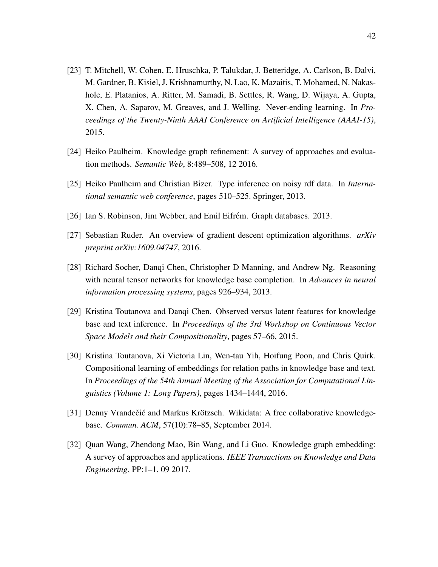- <span id="page-51-2"></span>[23] T. Mitchell, W. Cohen, E. Hruschka, P. Talukdar, J. Betteridge, A. Carlson, B. Dalvi, M. Gardner, B. Kisiel, J. Krishnamurthy, N. Lao, K. Mazaitis, T. Mohamed, N. Nakashole, E. Platanios, A. Ritter, M. Samadi, B. Settles, R. Wang, D. Wijaya, A. Gupta, X. Chen, A. Saparov, M. Greaves, and J. Welling. Never-ending learning. In *Proceedings of the Twenty-Ninth AAAI Conference on Artificial Intelligence (AAAI-15)*, 2015.
- <span id="page-51-1"></span>[24] Heiko Paulheim. Knowledge graph refinement: A survey of approaches and evaluation methods. *Semantic Web*, 8:489–508, 12 2016.
- <span id="page-51-7"></span>[25] Heiko Paulheim and Christian Bizer. Type inference on noisy rdf data. In *International semantic web conference*, pages 510–525. Springer, 2013.
- <span id="page-51-3"></span>[26] Ian S. Robinson, Jim Webber, and Emil Eifrém. Graph databases. 2013.
- <span id="page-51-5"></span>[27] Sebastian Ruder. An overview of gradient descent optimization algorithms. *arXiv preprint arXiv:1609.04747*, 2016.
- <span id="page-51-8"></span>[28] Richard Socher, Danqi Chen, Christopher D Manning, and Andrew Ng. Reasoning with neural tensor networks for knowledge base completion. In *Advances in neural information processing systems*, pages 926–934, 2013.
- <span id="page-51-9"></span>[29] Kristina Toutanova and Danqi Chen. Observed versus latent features for knowledge base and text inference. In *Proceedings of the 3rd Workshop on Continuous Vector Space Models and their Compositionality*, pages 57–66, 2015.
- <span id="page-51-6"></span>[30] Kristina Toutanova, Xi Victoria Lin, Wen-tau Yih, Hoifung Poon, and Chris Quirk. Compositional learning of embeddings for relation paths in knowledge base and text. In *Proceedings of the 54th Annual Meeting of the Association for Computational Linguistics (Volume 1: Long Papers)*, pages 1434–1444, 2016.
- <span id="page-51-0"></span>[31] Denny Vrandečić and Markus Krötzsch. Wikidata: A free collaborative knowledgebase. *Commun. ACM*, 57(10):78–85, September 2014.
- <span id="page-51-4"></span>[32] Quan Wang, Zhendong Mao, Bin Wang, and Li Guo. Knowledge graph embedding: A survey of approaches and applications. *IEEE Transactions on Knowledge and Data Engineering*, PP:1–1, 09 2017.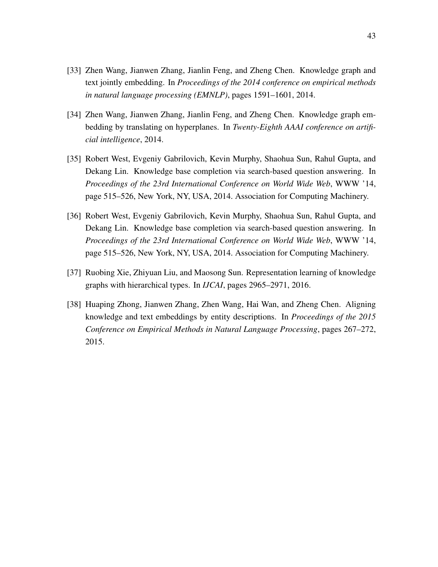- <span id="page-52-4"></span>[33] Zhen Wang, Jianwen Zhang, Jianlin Feng, and Zheng Chen. Knowledge graph and text jointly embedding. In *Proceedings of the 2014 conference on empirical methods in natural language processing (EMNLP)*, pages 1591–1601, 2014.
- <span id="page-52-0"></span>[34] Zhen Wang, Jianwen Zhang, Jianlin Feng, and Zheng Chen. Knowledge graph embedding by translating on hyperplanes. In *Twenty-Eighth AAAI conference on artificial intelligence*, 2014.
- <span id="page-52-1"></span>[35] Robert West, Evgeniy Gabrilovich, Kevin Murphy, Shaohua Sun, Rahul Gupta, and Dekang Lin. Knowledge base completion via search-based question answering. In *Proceedings of the 23rd International Conference on World Wide Web*, WWW '14, page 515–526, New York, NY, USA, 2014. Association for Computing Machinery.
- <span id="page-52-2"></span>[36] Robert West, Evgeniy Gabrilovich, Kevin Murphy, Shaohua Sun, Rahul Gupta, and Dekang Lin. Knowledge base completion via search-based question answering. In *Proceedings of the 23rd International Conference on World Wide Web*, WWW '14, page 515–526, New York, NY, USA, 2014. Association for Computing Machinery.
- <span id="page-52-3"></span>[37] Ruobing Xie, Zhiyuan Liu, and Maosong Sun. Representation learning of knowledge graphs with hierarchical types. In *IJCAI*, pages 2965–2971, 2016.
- <span id="page-52-5"></span>[38] Huaping Zhong, Jianwen Zhang, Zhen Wang, Hai Wan, and Zheng Chen. Aligning knowledge and text embeddings by entity descriptions. In *Proceedings of the 2015 Conference on Empirical Methods in Natural Language Processing*, pages 267–272, 2015.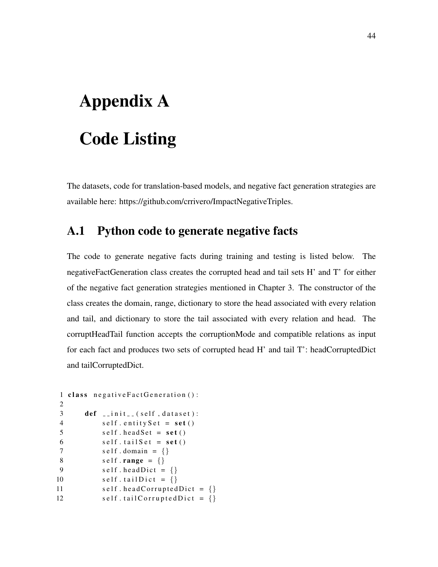# <span id="page-53-0"></span>Appendix A Code Listing

The datasets, code for translation-based models, and negative fact generation strategies are available here: https://github.com/crrivero/ImpactNegativeTriples.

#### <span id="page-53-1"></span>A.1 Python code to generate negative facts

The code to generate negative facts during training and testing is listed below. The negativeFactGeneration class creates the corrupted head and tail sets H' and T' for either of the negative fact generation strategies mentioned in Chapter 3. The constructor of the class creates the domain, range, dictionary to store the head associated with every relation and tail, and dictionary to store the tail associated with every relation and head. The corruptHeadTail function accepts the corruptionMode and compatible relations as input for each fact and produces two sets of corrupted head H' and tail T': headCorruptedDict and tailCorruptedDict.

```
1 class negative Fact Generation ():
2
3 def _{-1} in it _{-} (self, dataset):
4 self.entitySet = set()5 self.head Set = set()6 self.tailSet = set()7 self.domain = \{\}8 self.range = \{\}9 self. headDict = \{\}10 self. tailDict = \{\}11 self.head Corrupted Dict = \{\}12 self.tailCorruptedDict = \{\}
```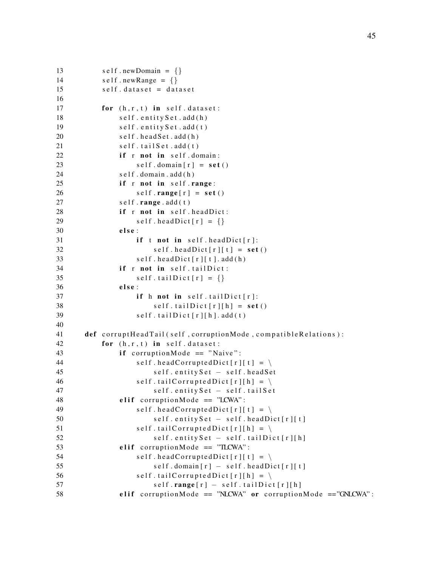```
13 \text{self . newDomain } = \{\}14 \text{self} \cdot \text{newRange} = \{\}15 self. dataset = dataset
16
17 for (h, r, t) in self. dataset:
18 self.entitySet.add(h)
19 self.entitySet.add(t)
20 self.head Set.add (h)
21 self.tailSet.add(t)
22 if r not in self. domain:
23 self. domain [r] = \text{set}( )24 self.domain.add(h)
25 if r not in self.range:
26 self.range[r] = \text{set}(r)27 self.range.add(t)
28 if r not in self head Dict:
29 self.head \text{Dict} [r] = \{\}30 else:
31 if t not in self. head Dict [r]:
32 \qquad \text{self. headDict} [r][t] = \text{set}()33 self. head Dict[r][t]. add (h)34 if r not in self.tailDict:
35 self.tailDict[r] = {}
36 else:
37 if h not in self.tailDict[r]:
38 self.tailDict[r][h] = set()
39 self.tailDict[r][h].add(t)
40
41 def corruptHeadTail (self, corruptionMode, compatibleRelations):
42 for (h, r, t) in self. dataset:
43 if corruptionMode == "Naive":
44 self.head Corrupted Dict [r][t] = \langle45 self.entitySet – self.headSet
46 self.tailCorruptedDict[r][h] = \setminus47 self.entitySet – self.tailSet
48 elif corruption Mode == "LCWA":
49 self.headCorruptedDict[r][t] = \langle50 self.entitySet – self.headDict[r][t]
51 self.tailCorruptedDict [r][h] = \langle52 self.entitySet – self.tailDict[r][h]
53 elif corruption Mode == "TLCWA":
54 self . head Corrupted Dict [r][t] = \langle\text{self. domain} [r] - \text{self. headDict} [r][t]56 self.tailCorruptedDict [r][h] = \langle57 self.range[r] – self.tailDict[r][h]58 elif corruptionMode == "NLCWA" or corruptionMode == "GNLCWA":
```